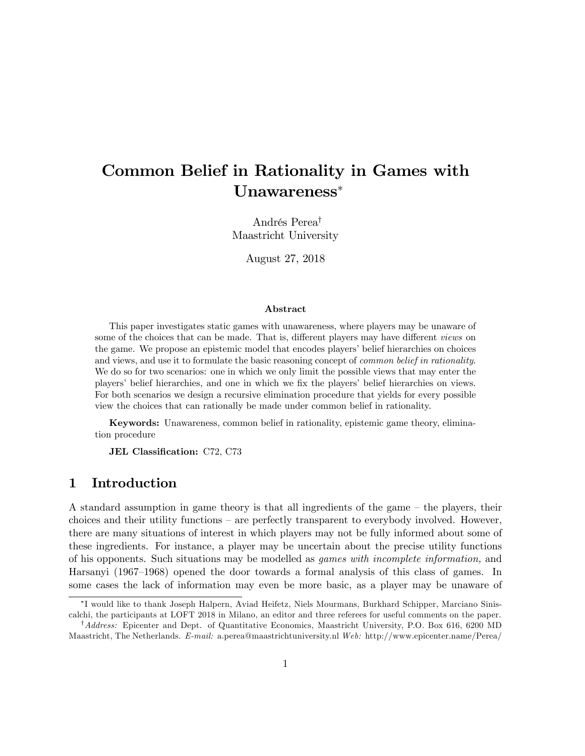# Common Belief in Rationality in Games with Unawareness

Andrés Perea<sup>†</sup> Maastricht University

August 27, 2018

#### Abstract

This paper investigates static games with unawareness, where players may be unaware of some of the choices that can be made. That is, different players may have different *views* on the game. We propose an epistemic model that encodes players' belief hierarchies on choices and views, and use it to formulate the basic reasoning concept of *common belief in rationality*. We do so for two scenarios: one in which we only limit the possible views that may enter the players' belief hierarchies, and one in which we fix the players' belief hierarchies on views. For both scenarios we design a recursive elimination procedure that yields for every possible view the choices that can rationally be made under common belief in rationality.

Keywords: Unawareness, common belief in rationality, epistemic game theory, elimination procedure

JEL Classification: C72, C73

### 1 Introduction

A standard assumption in game theory is that all ingredients of the game  $-$  the players, their choices and their utility functions  $-$  are perfectly transparent to everybody involved. However, there are many situations of interest in which players may not be fully informed about some of these ingredients. For instance, a player may be uncertain about the precise utility functions of his opponents. Such situations may be modelled as games with incomplete information, and Harsanyi (1967–1968) opened the door towards a formal analysis of this class of games. In some cases the lack of information may even be more basic, as a player may be unaware of

I would like to thank Joseph Halpern, Aviad Heifetz, Niels Mourmans, Burkhard Schipper, Marciano Siniscalchi, the participants at LOFT 2018 in Milano, an editor and three referees for useful comments on the paper.

 $^{\dagger}$ Address: Epicenter and Dept. of Quantitative Economics, Maastricht University, P.O. Box 616, 6200 MD Maastricht, The Netherlands. E-mail: a.perea@maastrichtuniversity.nl Web: http://www.epicenter.name/Perea/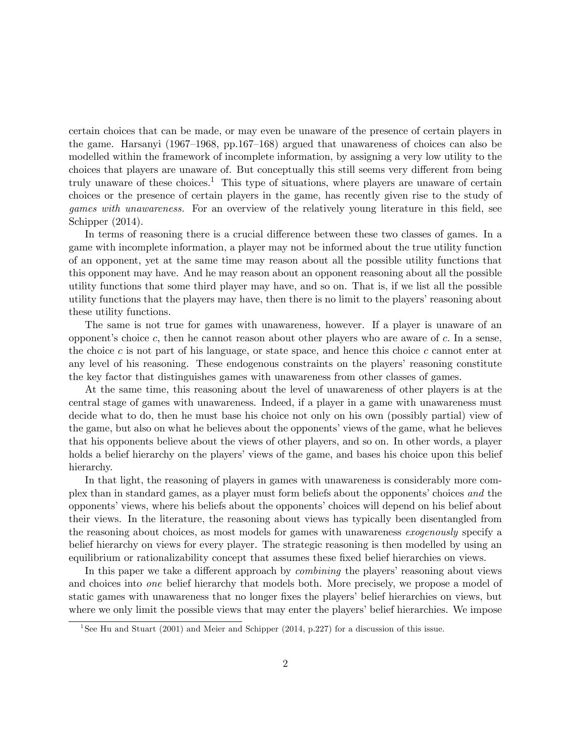certain choices that can be made, or may even be unaware of the presence of certain players in the game. Harsanyi (1967–1968, pp.167–168) argued that unawareness of choices can also be modelled within the framework of incomplete information, by assigning a very low utility to the choices that players are unaware of. But conceptually this still seems very different from being truly unaware of these choices.<sup>1</sup> This type of situations, where players are unaware of certain choices or the presence of certain players in the game, has recently given rise to the study of games with unawareness. For an overview of the relatively young literature in this field, see Schipper (2014).

In terms of reasoning there is a crucial difference between these two classes of games. In a game with incomplete information, a player may not be informed about the true utility function of an opponent, yet at the same time may reason about all the possible utility functions that this opponent may have. And he may reason about an opponent reasoning about all the possible utility functions that some third player may have, and so on. That is, if we list all the possible utility functions that the players may have, then there is no limit to the players' reasoning about these utility functions.

The same is not true for games with unawareness, however. If a player is unaware of an opponent's choice c, then he cannot reason about other players who are aware of c. In a sense, the choice c is not part of his language, or state space, and hence this choice c cannot enter at any level of his reasoning. These endogenous constraints on the players' reasoning constitute the key factor that distinguishes games with unawareness from other classes of games.

At the same time, this reasoning about the level of unawareness of other players is at the central stage of games with unawareness. Indeed, if a player in a game with unawareness must decide what to do, then he must base his choice not only on his own (possibly partial) view of the game, but also on what he believes about the opponents' views of the game, what he believes that his opponents believe about the views of other players, and so on. In other words, a player holds a belief hierarchy on the players' views of the game, and bases his choice upon this belief hierarchy.

In that light, the reasoning of players in games with unawareness is considerably more complex than in standard games, as a player must form beliefs about the opponents' choices and the opponents' views, where his beliefs about the opponents' choices will depend on his belief about their views. In the literature, the reasoning about views has typically been disentangled from the reasoning about choices, as most models for games with unawareness exogenously specify a belief hierarchy on views for every player. The strategic reasoning is then modelled by using an equilibrium or rationalizability concept that assumes these fixed belief hierarchies on views.

In this paper we take a different approach by *combining* the players' reasoning about views and choices into *one* belief hierarchy that models both. More precisely, we propose a model of static games with unawareness that no longer fixes the players' belief hierarchies on views, but where we only limit the possible views that may enter the players' belief hierarchies. We impose

<sup>&</sup>lt;sup>1</sup>See Hu and Stuart (2001) and Meier and Schipper (2014, p.227) for a discussion of this issue.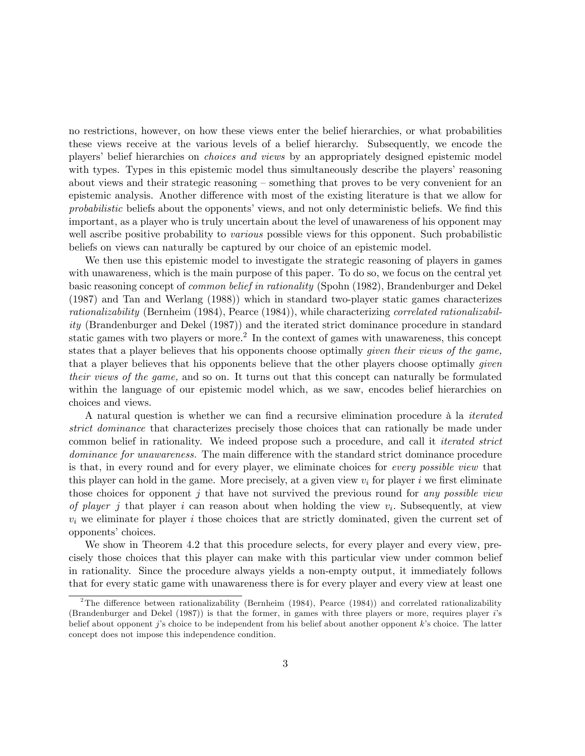no restrictions, however, on how these views enter the belief hierarchies, or what probabilities these views receive at the various levels of a belief hierarchy. Subsequently, we encode the players' belief hierarchies on *choices and views* by an appropriately designed epistemic model with types. Types in this epistemic model thus simultaneously describe the players' reasoning about views and their strategic reasoning – something that proves to be very convenient for an epistemic analysis. Another difference with most of the existing literature is that we allow for probabilistic beliefs about the opponents' views, and not only deterministic beliefs. We find this important, as a player who is truly uncertain about the level of unawareness of his opponent may well ascribe positive probability to *various* possible views for this opponent. Such probabilistic beliefs on views can naturally be captured by our choice of an epistemic model.

We then use this epistemic model to investigate the strategic reasoning of players in games with unawareness, which is the main purpose of this paper. To do so, we focus on the central yet basic reasoning concept of common belief in rationality (Spohn (1982), Brandenburger and Dekel (1987) and Tan and Werlang (1988)) which in standard two-player static games characterizes rationalizability (Bernheim (1984), Pearce (1984)), while characterizing correlated rationalizability (Brandenburger and Dekel (1987)) and the iterated strict dominance procedure in standard static games with two players or more.<sup>2</sup> In the context of games with unawareness, this concept states that a player believes that his opponents choose optimally *given their views of the game*, that a player believes that his opponents believe that the other players choose optimally given their views of the game, and so on. It turns out that this concept can naturally be formulated within the language of our epistemic model which, as we saw, encodes belief hierarchies on choices and views.

A natural question is whether we can find a recursive elimination procedure à la *iterated* strict dominance that characterizes precisely those choices that can rationally be made under common belief in rationality. We indeed propose such a procedure, and call it *iterated strict* dominance for unawareness. The main difference with the standard strict dominance procedure is that, in every round and for every player, we eliminate choices for every possible view that this player can hold in the game. More precisely, at a given view  $v_i$  for player i we first eliminate those choices for opponent  $j$  that have not survived the previous round for any possible view of player j that player i can reason about when holding the view  $v_i$ . Subsequently, at view  $v_i$  we eliminate for player i those choices that are strictly dominated, given the current set of opponents' choices.

We show in Theorem 4.2 that this procedure selects, for every player and every view, precisely those choices that this player can make with this particular view under common belief in rationality. Since the procedure always yields a non-empty output, it immediately follows that for every static game with unawareness there is for every player and every view at least one

<sup>&</sup>lt;sup>2</sup>The difference between rationalizability (Bernheim (1984), Pearce (1984)) and correlated rationalizability (Brandenburger and Dekel (1987)) is that the former, in games with three players or more, requires player i's belief about opponent j's choice to be independent from his belief about another opponent k's choice. The latter concept does not impose this independence condition.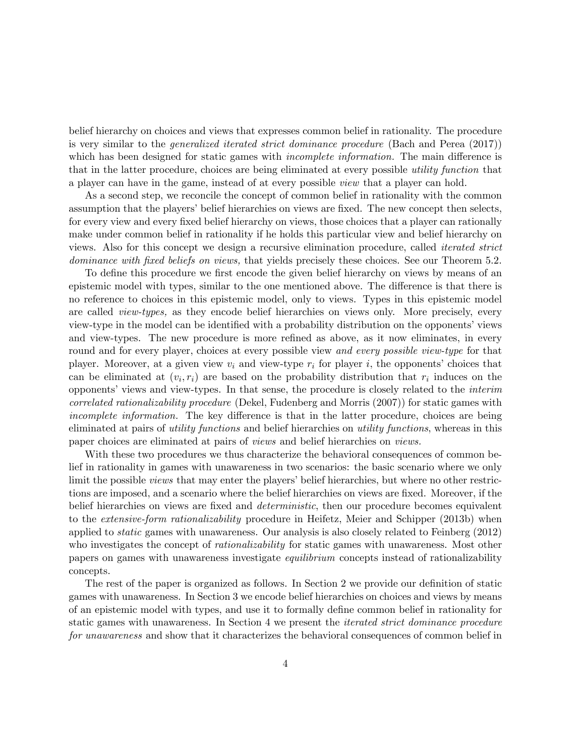belief hierarchy on choices and views that expresses common belief in rationality. The procedure is very similar to the generalized iterated strict dominance procedure (Bach and Perea (2017)) which has been designed for static games with *incomplete information*. The main difference is that in the latter procedure, choices are being eliminated at every possible utility function that a player can have in the game, instead of at every possible view that a player can hold.

As a second step, we reconcile the concept of common belief in rationality with the common assumption that the players' belief hierarchies on views are fixed. The new concept then selects, for every view and every fixed belief hierarchy on views, those choices that a player can rationally make under common belief in rationality if he holds this particular view and belief hierarchy on views. Also for this concept we design a recursive elimination procedure, called iterated strict dominance with fixed beliefs on views, that yields precisely these choices. See our Theorem 5.2.

To define this procedure we first encode the given belief hierarchy on views by means of an epistemic model with types, similar to the one mentioned above. The difference is that there is no reference to choices in this epistemic model, only to views. Types in this epistemic model are called *view-types*, as they encode belief hierarchies on views only. More precisely, every view-type in the model can be identified with a probability distribution on the opponents' views and view-types. The new procedure is more refined as above, as it now eliminates, in every round and for every player, choices at every possible view *and every possible view-type* for that player. Moreover, at a given view  $v_i$  and view-type  $r_i$  for player i, the opponents' choices that can be eliminated at  $(v_i, r_i)$  are based on the probability distribution that  $r_i$  induces on the opponents' views and view-types. In that sense, the procedure is closely related to the *interim* correlated rationalizability procedure (Dekel, Fudenberg and Morris (2007)) for static games with incomplete information. The key difference is that in the latter procedure, choices are being eliminated at pairs of utility functions and belief hierarchies on utility functions, whereas in this paper choices are eliminated at pairs of views and belief hierarchies on views.

With these two procedures we thus characterize the behavioral consequences of common belief in rationality in games with unawareness in two scenarios: the basic scenario where we only limit the possible *views* that may enter the players' belief hierarchies, but where no other restrictions are imposed, and a scenario where the belief hierarchies on views are fixed. Moreover, if the belief hierarchies on views are fixed and *deterministic*, then our procedure becomes equivalent to the *extensive-form rationalizability* procedure in Heifetz, Meier and Schipper (2013b) when applied to static games with unawareness. Our analysis is also closely related to Feinberg (2012) who investigates the concept of *rationalizability* for static games with unawareness. Most other papers on games with unawareness investigate equilibrium concepts instead of rationalizability concepts.

The rest of the paper is organized as follows. In Section 2 we provide our definition of static games with unawareness. In Section 3 we encode belief hierarchies on choices and views by means of an epistemic model with types, and use it to formally define common belief in rationality for static games with unawareness. In Section 4 we present the iterated strict dominance procedure for unawareness and show that it characterizes the behavioral consequences of common belief in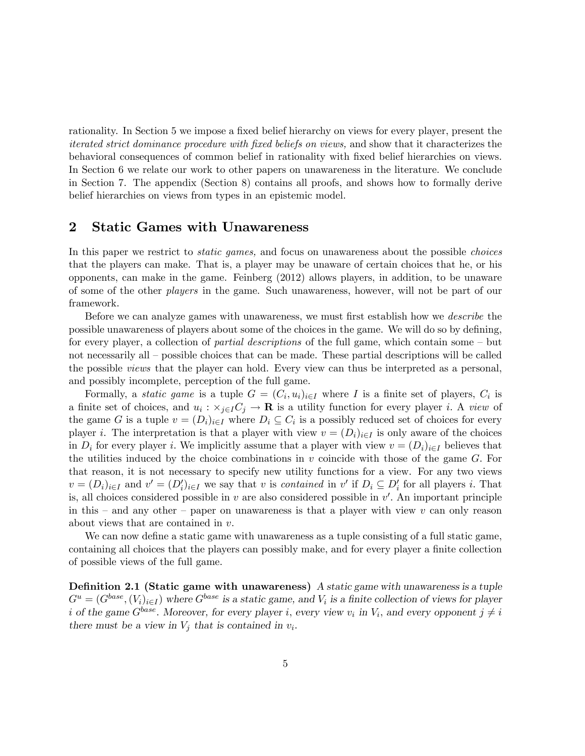rationality. In Section 5 we impose a fixed belief hierarchy on views for every player, present the iterated strict dominance procedure with fixed beliefs on views, and show that it characterizes the behavioral consequences of common belief in rationality with Öxed belief hierarchies on views. In Section 6 we relate our work to other papers on unawareness in the literature. We conclude in Section 7. The appendix (Section 8) contains all proofs, and shows how to formally derive belief hierarchies on views from types in an epistemic model.

### 2 Static Games with Unawareness

In this paper we restrict to *static games*, and focus on unawareness about the possible *choices* that the players can make. That is, a player may be unaware of certain choices that he, or his opponents, can make in the game. Feinberg (2012) allows players, in addition, to be unaware of some of the other players in the game. Such unawareness, however, will not be part of our framework.

Before we can analyze games with unawareness, we must first establish how we *describe* the possible unawareness of players about some of the choices in the game. We will do so by defining, for every player, a collection of *partial descriptions* of the full game, which contain some  $-\text{but}$ not necessarily all – possible choices that can be made. These partial descriptions will be called the possible views that the player can hold. Every view can thus be interpreted as a personal, and possibly incomplete, perception of the full game.

Formally, a *static game* is a tuple  $G = (C_i, u_i)_{i \in I}$  where I is a finite set of players,  $C_i$  is a finite set of choices, and  $u_i : \times_{j \in I} C_j \to \mathbf{R}$  is a utility function for every player *i*. A *view* of the game G is a tuple  $v = (D_i)_{i \in I}$  where  $D_i \subseteq C_i$  is a possibly reduced set of choices for every player i. The interpretation is that a player with view  $v = (D_i)_{i\in I}$  is only aware of the choices in  $D_i$  for every player i. We implicitly assume that a player with view  $v = (D_i)_{i\in I}$  believes that the utilities induced by the choice combinations in  $v$  coincide with those of the game  $G$ . For that reason, it is not necessary to specify new utility functions for a view. For any two views  $v = (D_i)_{i \in I}$  and  $v' = (D_i')_{i \in I}$  we say that v is *contained* in  $v'$  if  $D_i \subseteq D_i'$  for all players i. That is, all choices considered possible in  $v$  are also considered possible in  $v'$ . An important principle in this  $\alpha$  and any other  $\alpha$  paper on unawareness is that a player with view v can only reason about views that are contained in  $v$ .

We can now define a static game with unawareness as a tuple consisting of a full static game, containing all choices that the players can possibly make, and for every player a finite collection of possible views of the full game.

**Definition 2.1 (Static game with unawareness)** A static game with unawareness is a tuple  $G^u = (G^{base}, (V_i)_{i \in I})$  where  $G^{base}$  is a static game, and  $V_i$  is a finite collection of views for player i of the game  $G^{base}$ . Moreover, for every player i, every view  $v_i$  in  $V_i$ , and every opponent  $j \neq i$ there must be a view in  $V_j$  that is contained in  $v_i$ .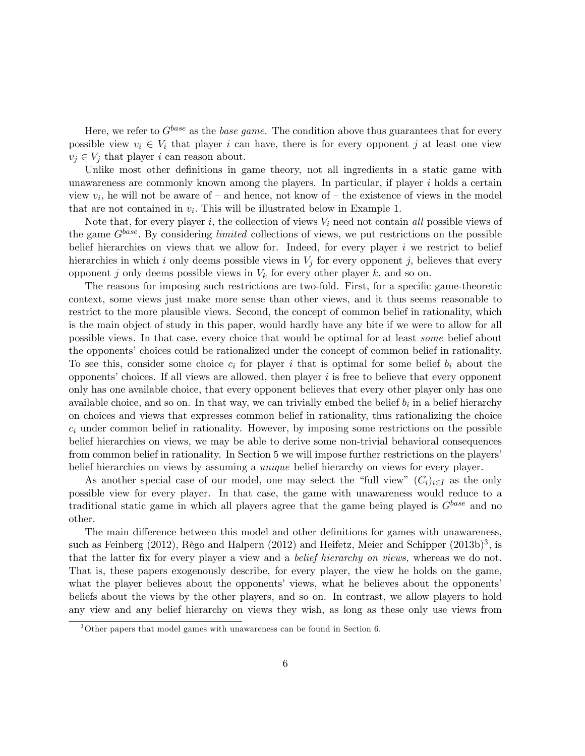Here, we refer to  $G^{base}$  as the *base game*. The condition above thus guarantees that for every possible view  $v_i \in V_i$  that player i can have, there is for every opponent j at least one view  $v_j \in V_j$  that player i can reason about.

Unlike most other definitions in game theory, not all ingredients in a static game with unawareness are commonly known among the players. In particular, if player  $i$  holds a certain view  $v_i$ , he will not be aware of  $-$  and hence, not know of  $-$  the existence of views in the model that are not contained in  $v_i$ . This will be illustrated below in Example 1.

Note that, for every player i, the collection of views  $V_i$  need not contain all possible views of the game  $G^{base}$ . By considering *limited* collections of views, we put restrictions on the possible belief hierarchies on views that we allow for. Indeed, for every player  $i$  we restrict to belief hierarchies in which i only deems possible views in  $V_i$  for every opponent j, believes that every opponent j only deems possible views in  $V_k$  for every other player k, and so on.

The reasons for imposing such restrictions are two-fold. First, for a specific game-theoretic context, some views just make more sense than other views, and it thus seems reasonable to restrict to the more plausible views. Second, the concept of common belief in rationality, which is the main object of study in this paper, would hardly have any bite if we were to allow for all possible views. In that case, every choice that would be optimal for at least some belief about the opponents' choices could be rationalized under the concept of common belief in rationality. To see this, consider some choice  $c_i$  for player i that is optimal for some belief  $b_i$  about the opponents' choices. If all views are allowed, then player  $i$  is free to believe that every opponent only has one available choice, that every opponent believes that every other player only has one available choice, and so on. In that way, we can trivially embed the belief  $b_i$  in a belief hierarchy on choices and views that expresses common belief in rationality, thus rationalizing the choice  $c_i$  under common belief in rationality. However, by imposing some restrictions on the possible belief hierarchies on views, we may be able to derive some non-trivial behavioral consequences from common belief in rationality. In Section 5 we will impose further restrictions on the players' belief hierarchies on views by assuming a unique belief hierarchy on views for every player.

As another special case of our model, one may select the "full view"  $(C_i)_{i\in I}$  as the only possible view for every player. In that case, the game with unawareness would reduce to a traditional static game in which all players agree that the game being played is  $G^{base}$  and no other.

The main difference between this model and other definitions for games with unawareness, such as Feinberg (2012), Rêgo and Halpern (2012) and Heifetz, Meier and Schipper (2013b)<sup>3</sup>, is that the latter fix for every player a view and a *belief hierarchy on views*, whereas we do not. That is, these papers exogenously describe, for every player, the view he holds on the game, what the player believes about the opponents' views, what he believes about the opponents' beliefs about the views by the other players, and so on. In contrast, we allow players to hold any view and any belief hierarchy on views they wish, as long as these only use views from

<sup>3</sup>Other papers that model games with unawareness can be found in Section 6.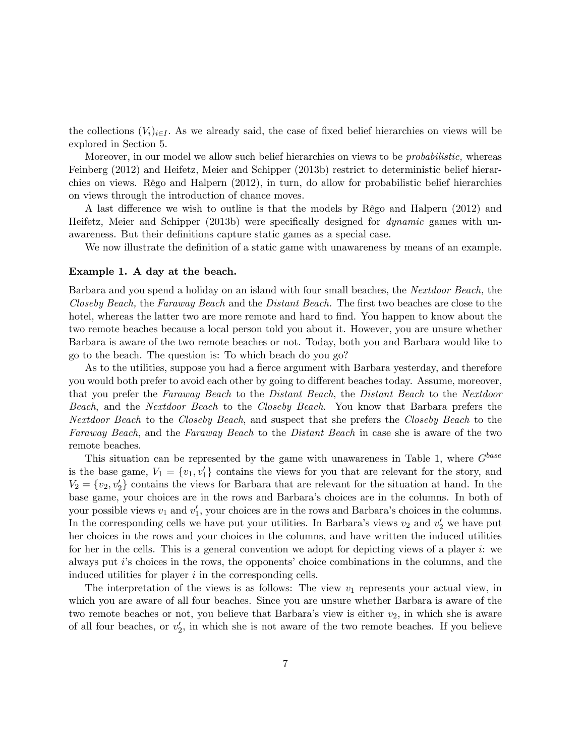the collections  $(V_i)_{i\in I}$ . As we already said, the case of fixed belief hierarchies on views will be explored in Section 5.

Moreover, in our model we allow such belief hierarchies on views to be *probabilistic*, whereas Feinberg (2012) and Heifetz, Meier and Schipper (2013b) restrict to deterministic belief hierarchies on views. Rêgo and Halpern  $(2012)$ , in turn, do allow for probabilistic belief hierarchies on views through the introduction of chance moves.

A last difference we wish to outline is that the models by Rêgo and Halpern (2012) and Heifetz, Meier and Schipper (2013b) were specifically designed for *dynamic* games with unawareness. But their definitions capture static games as a special case.

We now illustrate the definition of a static game with unawareness by means of an example.

#### Example 1. A day at the beach.

Barbara and you spend a holiday on an island with four small beaches, the Nextdoor Beach, the Closeby Beach, the Faraway Beach and the Distant Beach. The first two beaches are close to the hotel, whereas the latter two are more remote and hard to find. You happen to know about the two remote beaches because a local person told you about it. However, you are unsure whether Barbara is aware of the two remote beaches or not. Today, both you and Barbara would like to go to the beach. The question is: To which beach do you go?

As to the utilities, suppose you had a fierce argument with Barbara yesterday, and therefore you would both prefer to avoid each other by going to different beaches today. Assume, moreover, that you prefer the Faraway Beach to the Distant Beach, the Distant Beach to the Nextdoor Beach, and the Nextdoor Beach to the Closeby Beach. You know that Barbara prefers the Nextdoor Beach to the Closeby Beach, and suspect that she prefers the Closeby Beach to the Faraway Beach, and the Faraway Beach to the Distant Beach in case she is aware of the two remote beaches.

This situation can be represented by the game with unawareness in Table 1, where  $G<sup>base</sup>$ is the base game,  $V_1 = \{v_1, v_1'\}$  contains the views for you that are relevant for the story, and  $V_2 = \{v_2, v_2'\}$  contains the views for Barbara that are relevant for the situation at hand. In the base game, your choices are in the rows and Barbaraís choices are in the columns. In both of your possible views  $v_1$  and  $v'_1$ , your choices are in the rows and Barbara's choices in the columns. In the corresponding cells we have put your utilities. In Barbara's views  $v_2$  and  $v_2'$  we have put her choices in the rows and your choices in the columns, and have written the induced utilities for her in the cells. This is a general convention we adopt for depicting views of a player i: we always put  $i$ 's choices in the rows, the opponents' choice combinations in the columns, and the induced utilities for player  $i$  in the corresponding cells.

The interpretation of the views is as follows: The view  $v_1$  represents your actual view, in which you are aware of all four beaches. Since you are unsure whether Barbara is aware of the two remote beaches or not, you believe that Barbara's view is either  $v_2$ , in which she is aware of all four beaches, or  $v_2'$ , in which she is not aware of the two remote beaches. If you believe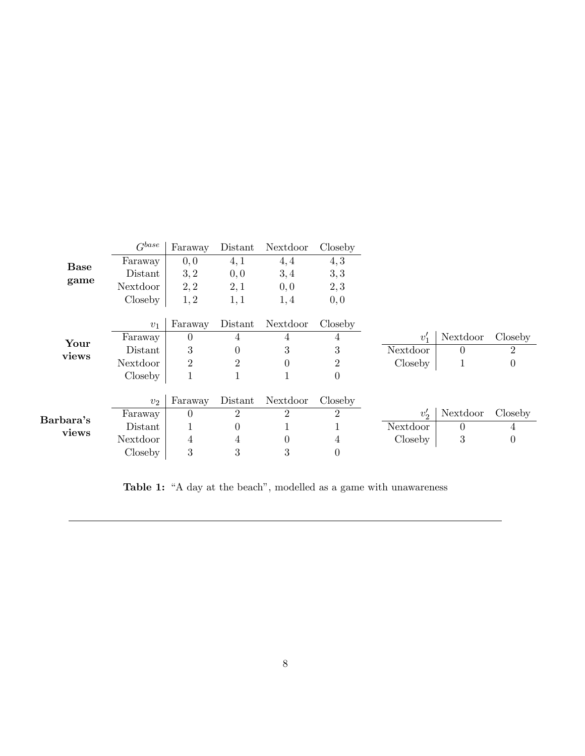| Base<br>game       | $G^{base}$ | Faraway        | Distant        | Nextdoor       | Closeby        |               |                |                |
|--------------------|------------|----------------|----------------|----------------|----------------|---------------|----------------|----------------|
|                    | Faraway    | 0, 0           | 4,1            | 4,4            | 4, 3           |               |                |                |
|                    | Distant    | 3, 2           | 0, 0           | 3,4            | 3,3            |               |                |                |
|                    | Nextdoor   | 2, 2           | 2,1            | 0,0            | 2,3            |               |                |                |
|                    | Closeby    | 1, 2           | 1,1            | 1,4            | 0, 0           |               |                |                |
|                    |            |                |                |                |                |               |                |                |
| Your<br>views      | $v_1$      | Faraway        | Distant        | Nextdoor       | Closeby        |               |                |                |
|                    | Faraway    | $\theta$       | $\overline{4}$ | 4              | 4              | $v_1'$        | Nextdoor       | Closeby        |
|                    | Distant    | 3              | 0              | 3              | 3              | Nextdoor      | $\overline{0}$ | $\overline{2}$ |
|                    | Nextdoor   | $\overline{2}$ | $\overline{2}$ | $\theta$       | $\overline{2}$ | Closeby       | $\mathbf{1}$   | $\theta$       |
|                    | Closeby    | 1              |                | T              | $\theta$       |               |                |                |
|                    |            |                |                |                |                |               |                |                |
| Barbara's<br>views | $v_2$      | Faraway        | Distant        | Nextdoor       | Closeby        |               |                |                |
|                    | Faraway    | $\theta$       | 2              | $\overline{2}$ | 2              | $v'_{\alpha}$ | Nextdoor       | Closeby        |
|                    | Distant    |                | 0              | T              |                | Nextdoor      | $\overline{0}$ | 4              |
|                    | Nextdoor   | 4              | 4              | $\theta$       | 4              | Closeby       | 3              | 0              |
|                    | Closeby    | 3              | 3              | 3              | U              |               |                |                |

Table 1: "A day at the beach", modelled as a game with unawareness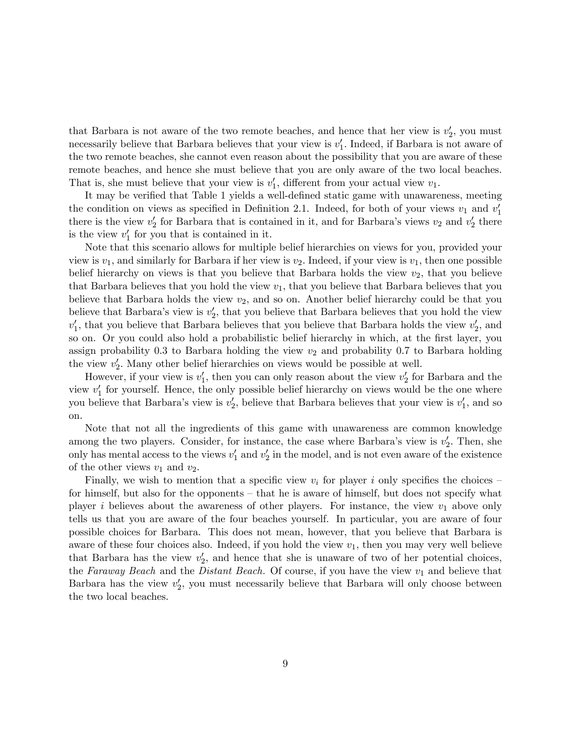that Barbara is not aware of the two remote beaches, and hence that her view is  $v_2'$ , you must necessarily believe that Barbara believes that your view is  $v_1'$ . Indeed, if Barbara is not aware of the two remote beaches, she cannot even reason about the possibility that you are aware of these remote beaches, and hence she must believe that you are only aware of the two local beaches. That is, she must believe that your view is  $v'_1$ , different from your actual view  $v_1$ .

It may be verified that Table 1 yields a well-defined static game with unawareness, meeting the condition on views as specified in Definition 2.1. Indeed, for both of your views  $v_1$  and  $v_1'$ there is the view  $v_2'$  for Barbara that is contained in it, and for Barbara's views  $v_2$  and  $v_2'$  there is the view  $v_1'$  for you that is contained in it.

Note that this scenario allows for multiple belief hierarchies on views for you, provided your view is  $v_1$ , and similarly for Barbara if her view is  $v_2$ . Indeed, if your view is  $v_1$ , then one possible belief hierarchy on views is that you believe that Barbara holds the view  $v_2$ , that you believe that Barbara believes that you hold the view  $v_1$ , that you believe that Barbara believes that you believe that Barbara holds the view  $v_2$ , and so on. Another belief hierarchy could be that you believe that Barbara's view is  $v_2'$ , that you believe that Barbara believes that you hold the view  $v_1'$ , that you believe that Barbara believes that you believe that Barbara holds the view  $v_2'$ , and so on. Or you could also hold a probabilistic belief hierarchy in which, at the first layer, you assign probability 0.3 to Barbara holding the view  $v_2$  and probability 0.7 to Barbara holding the view  $v_2'$ . Many other belief hierarchies on views would be possible at well.

However, if your view is  $v_1'$ , then you can only reason about the view  $v_2'$  for Barbara and the view  $v_1'$  for yourself. Hence, the only possible belief hierarchy on views would be the one where you believe that Barbara's view is  $v_2'$ , believe that Barbara believes that your view is  $v_1'$ , and so on.

Note that not all the ingredients of this game with unawareness are common knowledge among the two players. Consider, for instance, the case where Barbara's view is  $v_2'$ . Then, she only has mental access to the views  $v'_1$  and  $v'_2$  in the model, and is not even aware of the existence of the other views  $v_1$  and  $v_2$ .

Finally, we wish to mention that a specific view  $v_i$  for player i only specifies the choices – for himself, but also for the opponents – that he is aware of himself, but does not specify what player i believes about the awareness of other players. For instance, the view  $v_1$  above only tells us that you are aware of the four beaches yourself. In particular, you are aware of four possible choices for Barbara. This does not mean, however, that you believe that Barbara is aware of these four choices also. Indeed, if you hold the view  $v_1$ , then you may very well believe that Barbara has the view  $v_2'$ , and hence that she is unaware of two of her potential choices, the Faraway Beach and the Distant Beach. Of course, if you have the view  $v_1$  and believe that Barbara has the view  $v_2'$ , you must necessarily believe that Barbara will only choose between the two local beaches.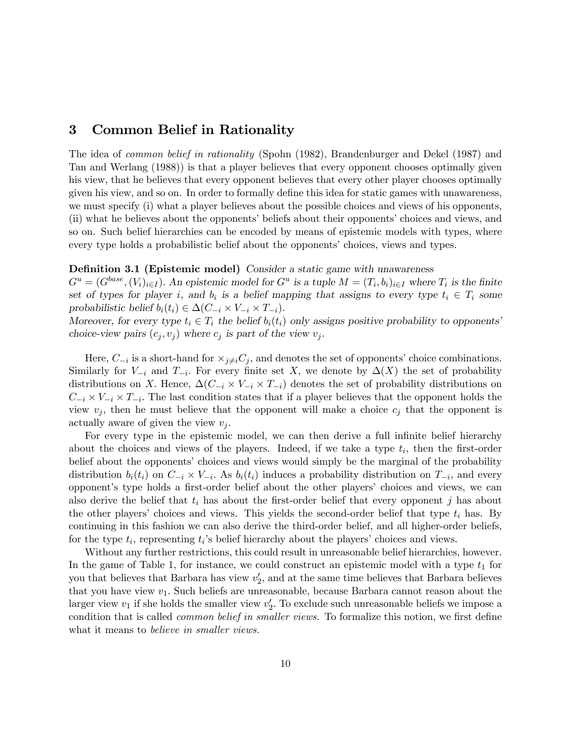# 3 Common Belief in Rationality

The idea of common belief in rationality (Spohn (1982), Brandenburger and Dekel (1987) and Tan and Werlang (1988)) is that a player believes that every opponent chooses optimally given his view, that he believes that every opponent believes that every other player chooses optimally given his view, and so on. In order to formally define this idea for static games with unawareness, we must specify (i) what a player believes about the possible choices and views of his opponents, (ii) what he believes about the opponents' beliefs about their opponents' choices and views, and so on. Such belief hierarchies can be encoded by means of epistemic models with types, where every type holds a probabilistic belief about the opponents' choices, views and types.

#### **Definition 3.1 (Epistemic model)** Consider a static game with unawareness

 $G^u = (G^{base}, (V_i)_{i \in I})$ . An epistemic model for  $G^u$  is a tuple  $M = (T_i, b_i)_{i \in I}$  where  $T_i$  is the finite set of types for player *i*, and  $b_i$  is a belief mapping that assigns to every type  $t_i \in T_i$  some probabilistic belief  $b_i(t_i) \in \Delta(C_{-i} \times V_{-i} \times T_{-i}).$ 

Moreover, for every type  $t_i \in T_i$  the belief  $b_i(t_i)$  only assigns positive probability to opponents choice-view pairs  $(c_j, v_j)$  where  $c_j$  is part of the view  $v_j$ .

Here,  $C_{-i}$  is a short-hand for  $\times_{j\neq i}C_j$ , and denotes the set of opponents' choice combinations. Similarly for  $V_{-i}$  and  $T_{-i}$ . For every finite set X, we denote by  $\Delta(X)$  the set of probability distributions on X. Hence,  $\Delta(C_{-i} \times V_{-i} \times T_{-i})$  denotes the set of probability distributions on  $C_{-i} \times V_{-i} \times T_{-i}$ . The last condition states that if a player believes that the opponent holds the view  $v_j$ , then he must believe that the opponent will make a choice  $c_j$  that the opponent is actually aware of given the view  $v_i$ .

For every type in the epistemic model, we can then derive a full infinite belief hierarchy about the choices and views of the players. Indeed, if we take a type  $t_i$ , then the first-order belief about the opponents' choices and views would simply be the marginal of the probability distribution  $b_i(t_i)$  on  $C_{-i} \times V_{-i}$ . As  $b_i(t_i)$  induces a probability distribution on  $T_{-i}$ , and every opponent's type holds a first-order belief about the other players' choices and views, we can also derive the belief that  $t_i$  has about the first-order belief that every opponent j has about the other players' choices and views. This yields the second-order belief that type  $t_i$  has. By continuing in this fashion we can also derive the third-order belief, and all higher-order beliefs, for the type  $t_i$ , representing  $t_i$ 's belief hierarchy about the players' choices and views.

Without any further restrictions, this could result in unreasonable belief hierarchies, however. In the game of Table 1, for instance, we could construct an epistemic model with a type  $t_1$  for you that believes that Barbara has view  $v_2'$ , and at the same time believes that Barbara believes that you have view  $v_1$ . Such beliefs are unreasonable, because Barbara cannot reason about the larger view  $v_1$  if she holds the smaller view  $v_2'$ . To exclude such unreasonable beliefs we impose a condition that is called *common belief in smaller views*. To formalize this notion, we first define what it means to *believe in smaller views*.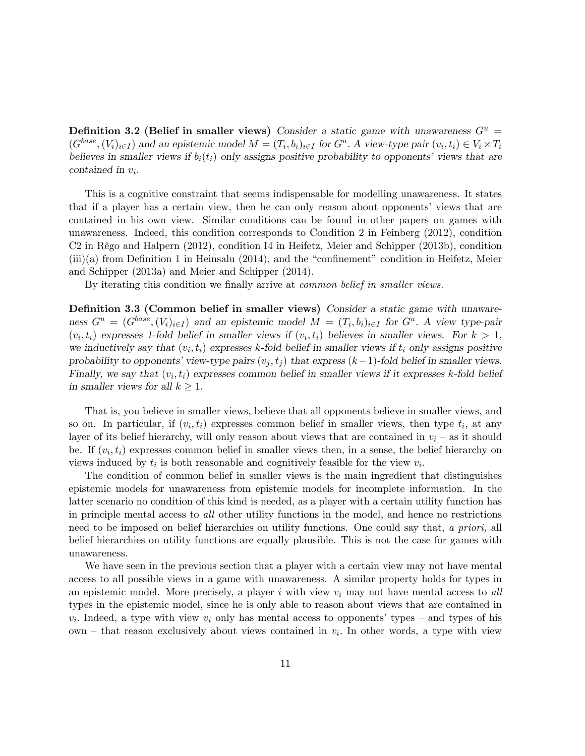Definition 3.2 (Belief in smaller views) Consider a static game with unawareness  $G^u$  =  $(G^{base}, (V_i)_{i\in I})$  and an epistemic model  $M = (T_i, b_i)_{i\in I}$  for  $G^u$ . A view-type pair  $(v_i, t_i) \in V_i \times T_i$ believes in smaller views if  $b_i(t_i)$  only assigns positive probability to opponents' views that are  $\text{contained in } v_i.$ 

This is a cognitive constraint that seems indispensable for modelling unawareness. It states that if a player has a certain view, then he can only reason about opponents' views that are contained in his own view. Similar conditions can be found in other papers on games with unawareness. Indeed, this condition corresponds to Condition 2 in Feinberg (2012), condition C2 in Rêgo and Halpern (2012), condition I4 in Heifetz, Meier and Schipper (2013b), condition (iii)(a) from Definition 1 in Heinsalu (2014), and the "confinement" condition in Heifetz, Meier and Schipper (2013a) and Meier and Schipper (2014).

By iterating this condition we finally arrive at *common belief in smaller views*.

Definition 3.3 (Common belief in smaller views) Consider a static game with unawareness  $G^u = (G^{base}, (V_i)_{i \in I})$  and an epistemic model  $M = (T_i, b_i)_{i \in I}$  for  $G^u$ . A view type-pair  $(v_i, t_i)$  expresses 1-fold belief in smaller views if  $(v_i, t_i)$  believes in smaller views. For  $k > 1$ , we inductively say that  $(v_i, t_i)$  expresses k-fold belief in smaller views if  $t_i$  only assigns positive probability to opponents' view-type pairs  $(v_i, t_j)$  that express  $(k-1)$ -fold belief in smaller views. Finally, we say that  $(v_i, t_i)$  expresses common belief in smaller views if it expresses k-fold belief in smaller views for all  $k \geq 1$ .

That is, you believe in smaller views, believe that all opponents believe in smaller views, and so on. In particular, if  $(v_i, t_i)$  expresses common belief in smaller views, then type  $t_i$ , at any layer of its belief hierarchy, will only reason about views that are contained in  $v_i$  – as it should be. If  $(v_i, t_i)$  expresses common belief in smaller views then, in a sense, the belief hierarchy on views induced by  $t_i$  is both reasonable and cognitively feasible for the view  $v_i$ .

The condition of common belief in smaller views is the main ingredient that distinguishes epistemic models for unawareness from epistemic models for incomplete information. In the latter scenario no condition of this kind is needed, as a player with a certain utility function has in principle mental access to all other utility functions in the model, and hence no restrictions need to be imposed on belief hierarchies on utility functions. One could say that, a priori, all belief hierarchies on utility functions are equally plausible. This is not the case for games with unawareness.

We have seen in the previous section that a player with a certain view may not have mental access to all possible views in a game with unawareness. A similar property holds for types in an epistemic model. More precisely, a player i with view  $v_i$  may not have mental access to all types in the epistemic model, since he is only able to reason about views that are contained in  $v_i$ . Indeed, a type with view  $v_i$  only has mental access to opponents' types – and types of his own – that reason exclusively about views contained in  $v_i$ . In other words, a type with view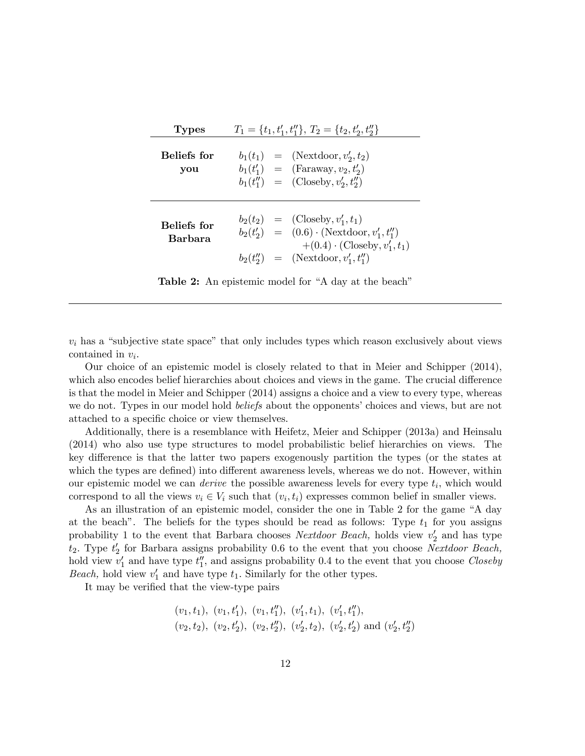| <b>Types</b>           | $T_1 = \{t_1, t_1', t_1''\}, T_2 = \{t_2, t_2', t_2''\}$                                                                                                                                       |  |  |  |  |  |
|------------------------|------------------------------------------------------------------------------------------------------------------------------------------------------------------------------------------------|--|--|--|--|--|
| Beliefs for<br>you     | $b_1(t_1) = (\text{Nextdoor}, v'_2, t_2)$<br>$b_1(t'_1) = (\text{Faraway}, v_2, t'_2)$<br>$b_1(t''_1) = (\text{Closeby}, v'_2, t''_2)$                                                         |  |  |  |  |  |
| Beliefs for<br>Barbara | $b_2(t_2) = (\text{Closeby}, v'_1, t_1)$<br>$b_2(t'_2) = (0.6) \cdot (\text{Nextdoor}, v'_1, t''_1)$<br>$+(0.4)\cdot$ (Closeby, $v'_1, t_1$ )<br>$b_2(t''_2) = (\text{Nextdoor}, v'_1, t''_1)$ |  |  |  |  |  |

**Table 2:** An epistemic model for "A day at the beach"

 $v_i$  has a "subjective state space" that only includes types which reason exclusively about views contained in  $v_i$ .

Our choice of an epistemic model is closely related to that in Meier and Schipper (2014), which also encodes belief hierarchies about choices and views in the game. The crucial difference is that the model in Meier and Schipper (2014) assigns a choice and a view to every type, whereas we do not. Types in our model hold *beliefs* about the opponents' choices and views, but are not attached to a specific choice or view themselves.

Additionally, there is a resemblance with Heifetz, Meier and Schipper (2013a) and Heinsalu (2014) who also use type structures to model probabilistic belief hierarchies on views. The key difference is that the latter two papers exogenously partition the types (or the states at which the types are defined) into different awareness levels, whereas we do not. However, within our epistemic model we can *derive* the possible awareness levels for every type  $t_i$ , which would correspond to all the views  $v_i \in V_i$  such that  $(v_i, t_i)$  expresses common belief in smaller views.

As an illustration of an epistemic model, consider the one in Table 2 for the game "A day at the beach". The beliefs for the types should be read as follows: Type  $t_1$  for you assigns probability 1 to the event that Barbara chooses *Nextdoor Beach*, holds view  $v_2'$  and has type  $t_2$ . Type  $t_2$  for Barbara assigns probability 0.6 to the event that you choose Nextdoor Beach, hold view  $v_1'$  and have type  $t_1''$ , and assigns probability 0.4 to the event that you choose Closeby *Beach*, hold view  $v'_1$  and have type  $t_1$ . Similarly for the other types.

It may be verified that the view-type pairs

$$
(v_1, t_1), (v_1, t'_1), (v_1, t''_1), (v'_1, t_1), (v'_1, t''_1),
$$
  
\n $(v_2, t_2), (v_2, t'_2), (v_2, t''_2), (v'_2, t_2), (v'_2, t'_2)$  and  $(v'_2, t''_2)$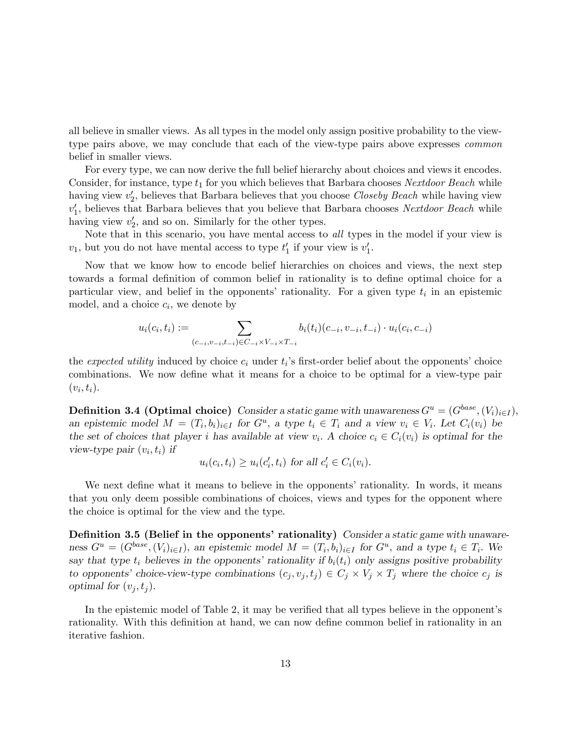all believe in smaller views. As all types in the model only assign positive probability to the viewtype pairs above, we may conclude that each of the view-type pairs above expresses common belief in smaller views.

For every type, we can now derive the full belief hierarchy about choices and views it encodes. Consider, for instance, type  $t_1$  for you which believes that Barbara chooses Nextdoor Beach while having view  $v_2'$ , believes that Barbara believes that you choose *Closeby Beach* while having view  $v_1'$ , believes that Barbara believes that you believe that Barbara chooses Nextdoor Beach while having view  $v_2'$ , and so on. Similarly for the other types.

Note that in this scenario, you have mental access to all types in the model if your view is  $v_1$ , but you do not have mental access to type  $t'_1$  if your view is  $v'_1$ .

Now that we know how to encode belief hierarchies on choices and views, the next step towards a formal definition of common belief in rationality is to define optimal choice for a particular view, and belief in the opponents' rationality. For a given type  $t_i$  in an epistemic model, and a choice  $c_i$ , we denote by

$$
u_i(c_i, t_i) := \sum_{(c_{-i}, v_{-i}, t_{-i}) \in C_{-i} \times V_{-i} \times T_{-i}} b_i(t_i)(c_{-i}, v_{-i}, t_{-i}) \cdot u_i(c_i, c_{-i})
$$

the *expected utility* induced by choice  $c_i$  under  $t_i$ 's first-order belief about the opponents' choice combinations. We now define what it means for a choice to be optimal for a view-type pair  $(v_i, t_i)$ .

**Definition 3.4 (Optimal choice)** Consider a static game with unawareness  $G^u = (G^{base}, (V_i)_{i \in I}),$ an epistemic model  $M = (T_i, b_i)_{i \in I}$  for  $G^u$ , a type  $t_i \in T_i$  and a view  $v_i \in V_i$ . Let  $C_i(v_i)$  be the set of choices that player *i* has available at view  $v_i$ . A choice  $c_i \in C_i(v_i)$  is optimal for the view-type pair  $(v_i, t_i)$  if

$$
u_i(c_i, t_i) \ge u_i(c'_i, t_i) \text{ for all } c'_i \in C_i(v_i).
$$

We next define what it means to believe in the opponents' rationality. In words, it means that you only deem possible combinations of choices, views and types for the opponent where the choice is optimal for the view and the type.

Definition 3.5 (Belief in the opponents' rationality) Consider a static game with unawareness  $G^u = (G^{base}, (V_i)_{i \in I})$ , an epistemic model  $M = (T_i, b_i)_{i \in I}$  for  $G^u$ , and a type  $t_i \in T_i$ . We say that type  $t_i$  believes in the opponents' rationality if  $b_i(t_i)$  only assigns positive probability to opponents' choice-view-type combinations  $(c_j, v_j, t_j) \in C_j \times V_j \times T_j$  where the choice  $c_j$  is optimal for  $(v_j, t_j)$ .

In the epistemic model of Table 2, it may be verified that all types believe in the opponent's rationality. With this definition at hand, we can now define common belief in rationality in an iterative fashion.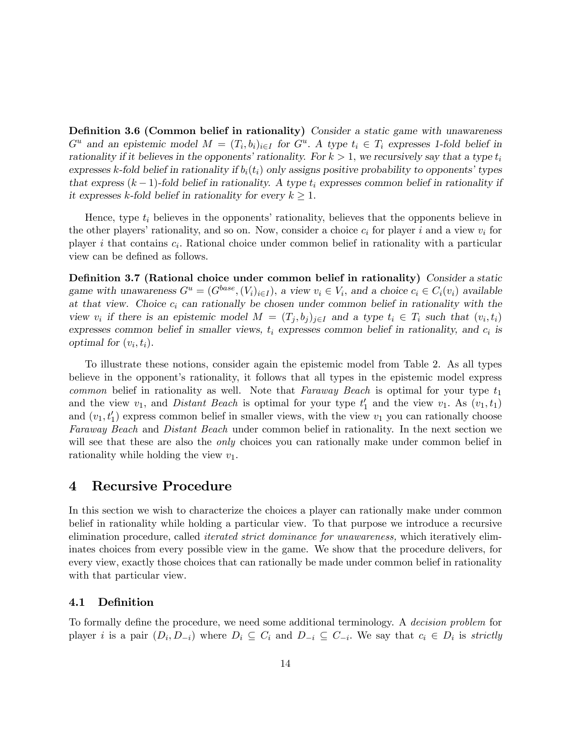Definition 3.6 (Common belief in rationality) Consider a static game with unawareness  $G^u$  and an epistemic model  $M = (T_i, b_i)_{i \in I}$  for  $G^u$ . A type  $t_i \in T_i$  expresses 1-fold belief in rationality if it believes in the opponents' rationality. For  $k > 1$ , we recursively say that a type  $t_i$ expresses k-fold belief in rationality if  $b_i(t_i)$  only assigns positive probability to opponents' types that express  $(k-1)$ -fold belief in rationality. A type  $t_i$  expresses common belief in rationality if it expresses k-fold belief in rationality for every  $k \geq 1$ .

Hence, type  $t_i$  believes in the opponents' rationality, believes that the opponents believe in the other players' rationality, and so on. Now, consider a choice  $c_i$  for player i and a view  $v_i$  for player *i* that contains  $c_i$ . Rational choice under common belief in rationality with a particular view can be defined as follows.

Definition 3.7 (Rational choice under common belief in rationality) Consider a static game with unawareness  $G^u = (G^{base}, (V_i)_{i \in I})$ , a view  $v_i \in V_i$ , and a choice  $c_i \in C_i(v_i)$  available at that view. Choice  $c_i$  can rationally be chosen under common belief in rationality with the view  $v_i$  if there is an epistemic model  $M = (T_j, b_j)_{j \in I}$  and a type  $t_i \in T_i$  such that  $(v_i, t_i)$ expresses common belief in smaller views,  $t_i$  expresses common belief in rationality, and  $c_i$  is optimal for  $(v_i, t_i)$ .

To illustrate these notions, consider again the epistemic model from Table 2. As all types believe in the opponent's rationality, it follows that all types in the epistemic model express *common* belief in rationality as well. Note that Faraway Beach is optimal for your type  $t_1$ and the view  $v_1$ , and *Distant Beach* is optimal for your type  $t'_1$  and the view  $v_1$ . As  $(v_1, t_1)$ and  $(v_1, t'_1)$  express common belief in smaller views, with the view  $v_1$  you can rationally choose Faraway Beach and Distant Beach under common belief in rationality. In the next section we will see that these are also the *only* choices you can rationally make under common belief in rationality while holding the view  $v_1$ .

# 4 Recursive Procedure

In this section we wish to characterize the choices a player can rationally make under common belief in rationality while holding a particular view. To that purpose we introduce a recursive elimination procedure, called iterated strict dominance for unawareness, which iteratively eliminates choices from every possible view in the game. We show that the procedure delivers, for every view, exactly those choices that can rationally be made under common belief in rationality with that particular view.

#### 4.1 DeÖnition

To formally define the procedure, we need some additional terminology. A decision problem for player *i* is a pair  $(D_i, D_{-i})$  where  $D_i \subseteq C_i$  and  $D_{-i} \subseteq C_{-i}$ . We say that  $c_i \in D_i$  is *strictly*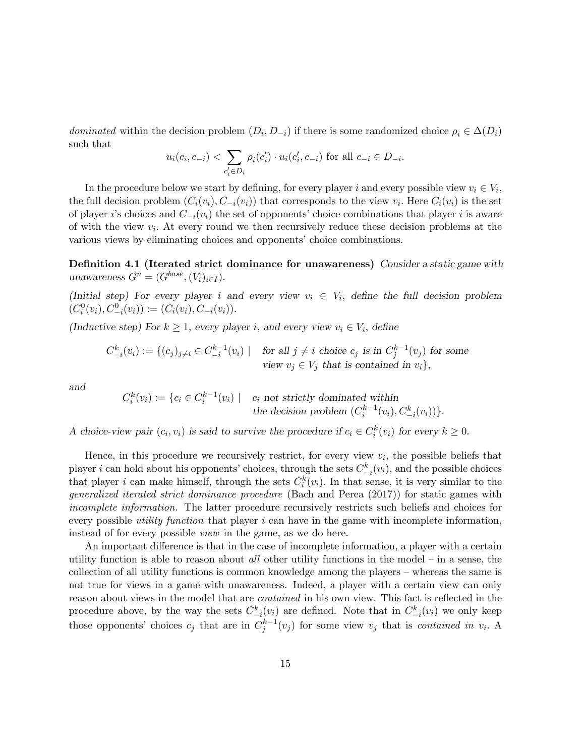dominated within the decision problem  $(D_i, D_{-i})$  if there is some randomized choice  $\rho_i \in \Delta(D_i)$ such that

$$
u_i(c_i, c_{-i}) < \sum_{c'_i \in D_i} \rho_i(c'_i) \cdot u_i(c'_i, c_{-i})
$$
 for all  $c_{-i} \in D_{-i}$ .

In the procedure below we start by defining, for every player i and every possible view  $v_i \in V_i$ , the full decision problem  $(C_i(v_i), C_{-i}(v_i))$  that corresponds to the view  $v_i$ . Here  $C_i(v_i)$  is the set of player is choices and  $C_{-i}(v_i)$  the set of opponents' choice combinations that player i is aware of with the view  $v_i$ . At every round we then recursively reduce these decision problems at the various views by eliminating choices and opponents' choice combinations.

Definition 4.1 (Iterated strict dominance for unawareness) Consider a static game with unawareness  $G^u = (G^{base}, (V_i)_{i \in I}).$ 

(Initial step) For every player i and every view  $v_i \in V_i$ , define the full decision problem  $(C_i^0(v_i), C_{-i}^0(v_i)) := (C_i(v_i), C_{-i}(v_i)).$ 

(Inductive step) For  $k \geq 1$ , every player *i*, and every view  $v_i \in V_i$ , define

$$
C_{-i}^k(v_i) := \{(c_j)_{j \neq i} \in C_{-i}^{k-1}(v_i) \mid \text{for all } j \neq i \text{ choice } c_j \text{ is in } C_j^{k-1}(v_j) \text{ for some } v_j \in V_j \text{ that is contained in } v_i\},\
$$

and

$$
C_i^k(v_i) := \{c_i \in C_i^{k-1}(v_i) \mid c_i \text{ not strictly dominated within}
$$
  
the decision problem  $(C_i^{k-1}(v_i), C_{-i}^k(v_i))\}.$ 

A choice-view pair  $(c_i, v_i)$  is said to survive the procedure if  $c_i \in C_i^k(v_i)$  for every  $k \geq 0$ .

Hence, in this procedure we recursively restrict, for every view  $v_i$ , the possible beliefs that player i can hold about his opponents' choices, through the sets  $C_{-i}^k(v_i)$ , and the possible choices that player *i* can make himself, through the sets  $C_i^k(v_i)$ . In that sense, it is very similar to the generalized iterated strict dominance procedure (Bach and Perea (2017)) for static games with incomplete information. The latter procedure recursively restricts such beliefs and choices for every possible *utility function* that player  $i$  can have in the game with incomplete information, instead of for every possible view in the game, as we do here.

An important difference is that in the case of incomplete information, a player with a certain utility function is able to reason about *all* other utility functions in the model  $-$  in a sense, the collection of all utility functions is common knowledge among the players  $-$  whereas the same is not true for views in a game with unawareness. Indeed, a player with a certain view can only reason about views in the model that are *contained* in his own view. This fact is reflected in the procedure above, by the way the sets  $C_{-i}^k(v_i)$  are defined. Note that in  $C_{-i}^k(v_i)$  we only keep those opponents' choices  $c_j$  that are in  $C_j^{k-1}(v_j)$  for some view  $v_j$  that is *contained in v<sub>i</sub>*. A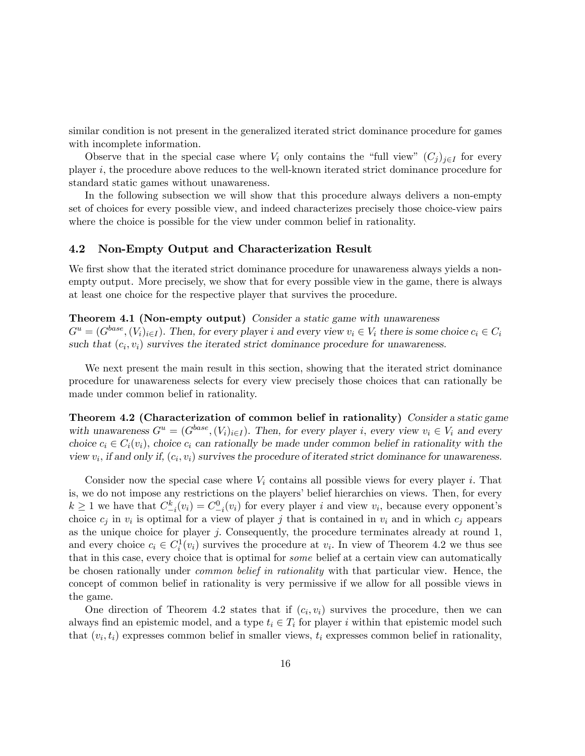similar condition is not present in the generalized iterated strict dominance procedure for games with incomplete information.

Observe that in the special case where  $V_i$  only contains the "full view"  $(C_j)_{j\in I}$  for every player i; the procedure above reduces to the well-known iterated strict dominance procedure for standard static games without unawareness.

In the following subsection we will show that this procedure always delivers a non-empty set of choices for every possible view, and indeed characterizes precisely those choice-view pairs where the choice is possible for the view under common belief in rationality.

#### 4.2 Non-Empty Output and Characterization Result

We first show that the iterated strict dominance procedure for unawareness always yields a nonempty output. More precisely, we show that for every possible view in the game, there is always at least one choice for the respective player that survives the procedure.

# Theorem 4.1 (Non-empty output) Consider a static game with unawareness

 $G^u = (G^{base}, (V_i)_{i \in I})$ . Then, for every player i and every view  $v_i \in V_i$  there is some choice  $c_i \in C_i$ such that  $(c_i, v_i)$  survives the iterated strict dominance procedure for unawareness.

We next present the main result in this section, showing that the iterated strict dominance procedure for unawareness selects for every view precisely those choices that can rationally be made under common belief in rationality.

Theorem 4.2 (Characterization of common belief in rationality) Consider a static game with unawareness  $G^u = (G^{base}, (V_i)_{i \in I})$ . Then, for every player i, every view  $v_i \in V_i$  and every choice  $c_i \in C_i(v_i)$ , choice  $c_i$  can rationally be made under common belief in rationality with the view  $v_i$ , if and only if,  $(c_i, v_i)$  survives the procedure of iterated strict dominance for unawareness.

Consider now the special case where  $V_i$  contains all possible views for every player i. That is, we do not impose any restrictions on the players' belief hierarchies on views. Then, for every  $k \geq 1$  we have that  $C_{-i}^k(v_i) = C_{-i}^0(v_i)$  for every player i and view  $v_i$ , because every opponent's choice  $c_j$  in  $v_i$  is optimal for a view of player j that is contained in  $v_i$  and in which  $c_j$  appears as the unique choice for player  $j$ . Consequently, the procedure terminates already at round 1, and every choice  $c_i \in C_i^1(v_i)$  survives the procedure at  $v_i$ . In view of Theorem 4.2 we thus see that in this case, every choice that is optimal for some belief at a certain view can automatically be chosen rationally under common belief in rationality with that particular view. Hence, the concept of common belief in rationality is very permissive if we allow for all possible views in the game.

One direction of Theorem 4.2 states that if  $(c_i, v_i)$  survives the procedure, then we can always find an epistemic model, and a type  $t_i \in T_i$  for player i within that epistemic model such that  $(v_i, t_i)$  expresses common belief in smaller views,  $t_i$  expresses common belief in rationality,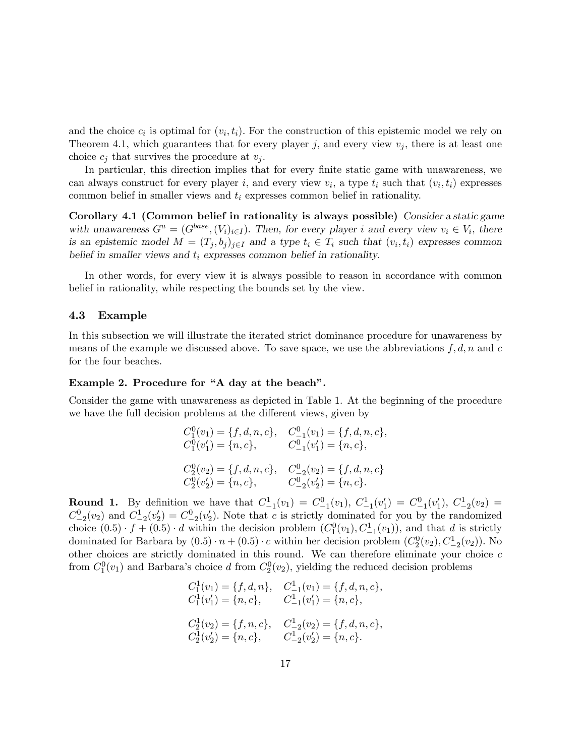and the choice  $c_i$  is optimal for  $(v_i, t_i)$ . For the construction of this epistemic model we rely on Theorem 4.1, which guarantees that for every player j, and every view  $v_j$ , there is at least one choice  $c_j$  that survives the procedure at  $v_j$ .

In particular, this direction implies that for every finite static game with unawareness, we can always construct for every player i, and every view  $v_i$ , a type  $t_i$  such that  $(v_i, t_i)$  expresses common belief in smaller views and  $t_i$  expresses common belief in rationality.

Corollary 4.1 (Common belief in rationality is always possible) Consider a static game with unawareness  $G^u = (G^{base}, (V_i)_{i \in I})$ . Then, for every player i and every view  $v_i \in V_i$ , there is an epistemic model  $M = (T_j, b_j)_{j \in I}$  and a type  $t_i \in T_i$  such that  $(v_i, t_i)$  expresses common belief in smaller views and  $t_i$  expresses common belief in rationality.

In other words, for every view it is always possible to reason in accordance with common belief in rationality, while respecting the bounds set by the view.

#### 4.3 Example

In this subsection we will illustrate the iterated strict dominance procedure for unawareness by means of the example we discussed above. To save space, we use the abbreviations  $f, d, n$  and c for the four beaches.

#### Example 2. Procedure for "A day at the beach".

Consider the game with unawareness as depicted in Table 1. At the beginning of the procedure we have the full decision problems at the different views, given by

$$
C_1^0(v_1) = \{f, d, n, c\}, \quad C_{-1}^0(v_1) = \{f, d, n, c\},
$$
  
\n
$$
C_1^0(v_1') = \{n, c\}, \quad C_{-1}^0(v_1') = \{n, c\},
$$
  
\n
$$
C_2^0(v_2) = \{f, d, n, c\}, \quad C_{-2}^0(v_2) = \{f, d, n, c\}
$$
  
\n
$$
C_2^0(v_2') = \{n, c\}, \quad C_{-2}^0(v_2') = \{n, c\}.
$$

**Round 1.** By definition we have that  $C_{-1}^1(v_1) = C_{-1}^0(v_1)$ ,  $C_{-1}^1(v_1') = C_{-1}^0(v_1')$ ,  $C_{-2}^1(v_2) = C_{-1}^0(v_1')$  $C_{-2}^0(v_2)$  and  $C_{-2}^1(v_2') = C_{-2}^0(v_2')$ . Note that c is strictly dominated for you by the randomized choice  $(0.5) \cdot f + (0.5) \cdot d$  within the decision problem  $(C_1^0(v_1), C_{-1}^1(v_1))$ , and that d is strictly dominated for Barbara by  $(0.5) \cdot n + (0.5) \cdot c$  within her decision problem  $(C_2^0(v_2), C_{-2}^1(v_2))$ . No other choices are strictly dominated in this round. We can therefore eliminate your choice  $c$ from  $C_1^0(v_1)$  and Barbara's choice d from  $C_2^0(v_2)$ , yielding the reduced decision problems

$$
C_1^1(v_1) = \{f, d, n\}, \quad C_{-1}^1(v_1) = \{f, d, n, c\},
$$
  
\n
$$
C_1^1(v'_1) = \{n, c\}, \quad C_{-1}^1(v'_1) = \{n, c\},
$$
  
\n
$$
C_2^1(v_2) = \{f, n, c\}, \quad C_{-2}^1(v_2) = \{f, d, n, c\},
$$
  
\n
$$
C_2^1(v'_2) = \{n, c\}, \quad C_{-2}^1(v'_2) = \{n, c\}.
$$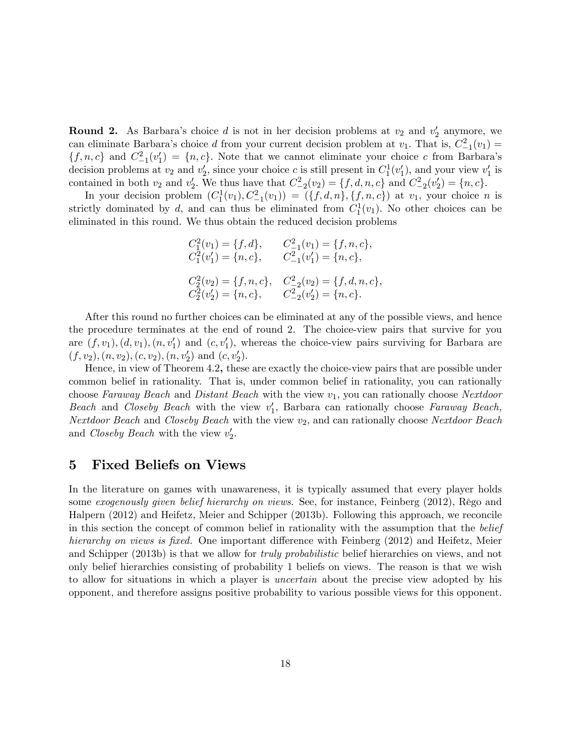**Round 2.** As Barbara's choice d is not in her decision problems at  $v_2$  and  $v'_2$  anymore, we can eliminate Barbara's choice d from your current decision problem at  $v_1$ . That is,  $C_{-1}^2(v_1) =$  $\{f, n, c\}$  and  $C_{-1}^2(v_1') = \{n, c\}$ . Note that we cannot eliminate your choice c from Barbara's decision problems at  $v_2$  and  $v'_2$ , since your choice c is still present in  $C_1^1(v'_1)$ , and your view  $v'_1$  is contained in both  $v_2$  and  $v'_2$ . We thus have that  $C_{-2}^2(v_2) = \{f, d, n, c\}$  and  $C_{-2}^2(v'_2) = \{n, c\}$ .

In your decision problem  $(C_1^1(v_1), C_{-1}^2(v_1)) = (\{f, d, n\}, \{f, n, c\})$  at  $v_1$ , your choice n is strictly dominated by d, and can thus be eliminated from  $C_1^1(v_1)$ . No other choices can be eliminated in this round. We thus obtain the reduced decision problems

$$
C_1^2(v_1) = \{f, d\}, \t C_{-1}^2(v_1) = \{f, n, c\},
$$
  
\n
$$
C_1^2(v'_1) = \{n, c\}, \t C_{-1}^2(v'_1) = \{n, c\},
$$
  
\n
$$
C_2^2(v_2) = \{f, n, c\}, \t C_{-2}^2(v_2) = \{f, d, n, c\},
$$
  
\n
$$
C_2^2(v'_2) = \{n, c\}, \t C_{-2}^2(v'_2) = \{n, c\}.
$$

After this round no further choices can be eliminated at any of the possible views, and hence the procedure terminates at the end of round 2. The choice-view pairs that survive for you are  $(f, v_1), (d, v_1), (n, v'_1)$  and  $(c, v'_1)$ , whereas the choice-view pairs surviving for Barbara are  $(f, v_2), (n, v_2), (c, v_2), (n, v'_2)$  and  $(c, v'_2)$ .

Hence, in view of Theorem 4.2, these are exactly the choice-view pairs that are possible under common belief in rationality. That is, under common belief in rationality, you can rationally choose Faraway Beach and Distant Beach with the view  $v_1$ , you can rationally choose Nextdoor Beach and Closeby Beach with the view  $v_1'$ , Barbara can rationally choose Faraway Beach, Nextdoor Beach and Closeby Beach with the view  $v_2$ , and can rationally choose Nextdoor Beach and Closeby Beach with the view  $v_2'$ .

### 5 Fixed Beliefs on Views

In the literature on games with unawareness, it is typically assumed that every player holds some exogenously given belief hierarchy on views. See, for instance, Feinberg  $(2012)$ , Rêgo and Halpern (2012) and Heifetz, Meier and Schipper (2013b). Following this approach, we reconcile in this section the concept of common belief in rationality with the assumption that the belief hierarchy on views is fixed. One important difference with Feinberg (2012) and Heifetz, Meier and Schipper (2013b) is that we allow for truly probabilistic belief hierarchies on views, and not only belief hierarchies consisting of probability 1 beliefs on views. The reason is that we wish to allow for situations in which a player is uncertain about the precise view adopted by his opponent, and therefore assigns positive probability to various possible views for this opponent.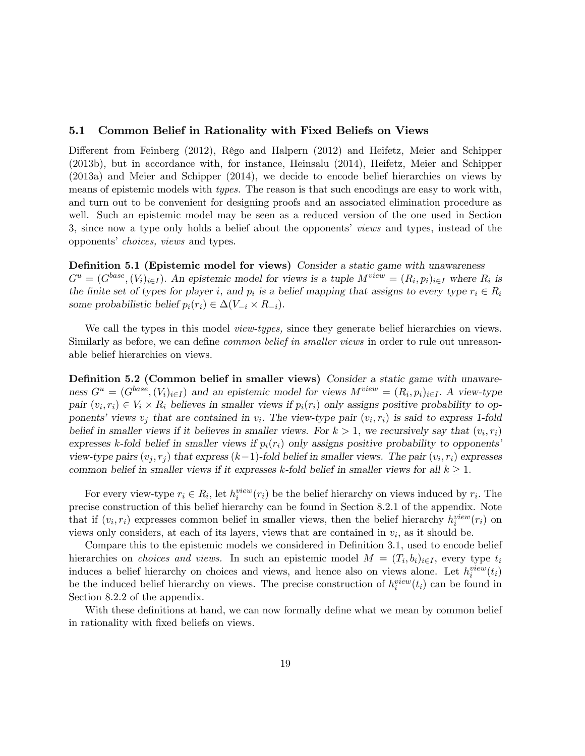#### 5.1 Common Belief in Rationality with Fixed Beliefs on Views

Different from Feinberg (2012), Rêgo and Halpern (2012) and Heifetz, Meier and Schipper (2013b), but in accordance with, for instance, Heinsalu (2014), Heifetz, Meier and Schipper (2013a) and Meier and Schipper (2014), we decide to encode belief hierarchies on views by means of epistemic models with types. The reason is that such encodings are easy to work with, and turn out to be convenient for designing proofs and an associated elimination procedure as well. Such an epistemic model may be seen as a reduced version of the one used in Section 3, since now a type only holds a belief about the opponents' views and types, instead of the opponents' *choices*, *views* and types.

Definition 5.1 (Epistemic model for views) Consider a static game with unawareness  $G^u = (G^{base}, (V_i)_{i \in I})$ . An epistemic model for views is a tuple  $M^{view} = (R_i, p_i)_{i \in I}$  where  $R_i$  is the finite set of types for player *i*, and  $p_i$  is a belief mapping that assigns to every type  $r_i \in R_i$ some probabilistic belief  $p_i(r_i) \in \Delta (V_{-i} \times R_{-i}).$ 

We call the types in this model *view-types*, since they generate belief hierarchies on views. Similarly as before, we can define *common belief in smaller views* in order to rule out unreasonable belief hierarchies on views.

Definition 5.2 (Common belief in smaller views) Consider a static game with unawareness  $G^u = (G^{base}, (V_i)_{i \in I})$  and an epistemic model for views  $M^{view} = (R_i, p_i)_{i \in I}$ . A view-type pair  $(v_i, r_i) \in V_i \times R_i$  believes in smaller views if  $p_i(r_i)$  only assigns positive probability to opponents' views  $v_j$  that are contained in  $v_i$ . The view-type pair  $(v_i, r_i)$  is said to express 1-fold belief in smaller views if it believes in smaller views. For  $k > 1$ , we recursively say that  $(v_i, r_i)$ expresses k-fold belief in smaller views if  $p_i(r_i)$  only assigns positive probability to opponents view-type pairs  $(v_j, r_j)$  that express  $(k-1)$ -fold belief in smaller views. The pair  $(v_i, r_i)$  expresses common belief in smaller views if it expresses k-fold belief in smaller views for all  $k \geq 1$ .

For every view-type  $r_i \in R_i$ , let  $h_i^{view}(r_i)$  be the belief hierarchy on views induced by  $r_i$ . The precise construction of this belief hierarchy can be found in Section 8.2.1 of the appendix. Note that if  $(v_i, r_i)$  expresses common belief in smaller views, then the belief hierarchy  $h_i^{view}(r_i)$  on views only considers, at each of its layers, views that are contained in  $v_i$ , as it should be.

Compare this to the epistemic models we considered in Definition 3.1, used to encode belief hierarchies on *choices and views*. In such an epistemic model  $M = (T_i, b_i)_{i \in I}$ , every type  $t_i$ induces a belief hierarchy on choices and views, and hence also on views alone. Let  $h_i^{view}(t_i)$ be the induced belief hierarchy on views. The precise construction of  $h_i^{view}(t_i)$  can be found in Section 8.2.2 of the appendix.

With these definitions at hand, we can now formally define what we mean by common belief in rationality with fixed beliefs on views.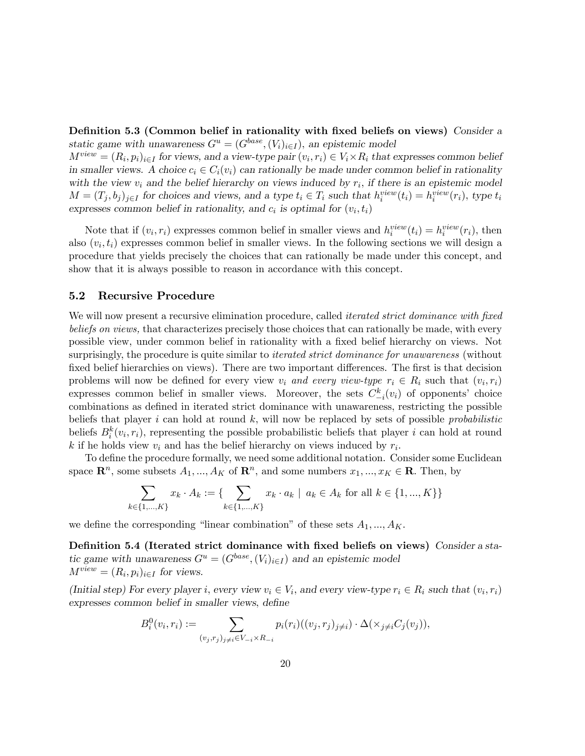Definition 5.3 (Common belief in rationality with fixed beliefs on views) Consider a static game with unawareness  $G^u = (G^{base}, (V_i)_{i \in I})$ , an epistemic model

 $M^{view} = (R_i, p_i)_{i \in I}$  for views, and a view-type pair  $(v_i, r_i) \in V_i \times R_i$  that expresses common belief in smaller views. A choice  $c_i \in C_i(v_i)$  can rationally be made under common belief in rationality with the view  $v_i$  and the belief hierarchy on views induced by  $r_i$ , if there is an epistemic model  $M = (T_j, b_j)_{j \in I}$  for choices and views, and a type  $t_i \in T_i$  such that  $h_i^{view}(t_i) = h_i^{view}(r_i)$ , type  $t_i$ expresses common belief in rationality, and  $c_i$  is optimal for  $(v_i, t_i)$ 

Note that if  $(v_i, r_i)$  expresses common belief in smaller views and  $h_i^{view}(t_i) = h_i^{view}(r_i)$ , then also  $(v_i, t_i)$  expresses common belief in smaller views. In the following sections we will design a procedure that yields precisely the choices that can rationally be made under this concept, and show that it is always possible to reason in accordance with this concept.

#### 5.2 Recursive Procedure

We will now present a recursive elimination procedure, called *iterated strict dominance with fixed* beliefs on views, that characterizes precisely those choices that can rationally be made, with every possible view, under common belief in rationality with a Öxed belief hierarchy on views. Not surprisingly, the procedure is quite similar to *iterated strict dominance for unawareness* (without fixed belief hierarchies on views). There are two important differences. The first is that decision problems will now be defined for every view  $v_i$  and every view-type  $r_i \in R_i$  such that  $(v_i, r_i)$ expresses common belief in smaller views. Moreover, the sets  $C_{-i}^k(v_i)$  of opponents' choice combinations as deÖned in iterated strict dominance with unawareness, restricting the possible beliefs that player  $i$  can hold at round  $k$ , will now be replaced by sets of possible *probabilistic* beliefs  $B_i^k(v_i, r_i)$ , representing the possible probabilistic beliefs that player i can hold at round k if he holds view  $v_i$  and has the belief hierarchy on views induced by  $r_i$ .

To define the procedure formally, we need some additional notation. Consider some Euclidean space  $\mathbb{R}^n$ , some subsets  $A_1, ..., A_K$  of  $\mathbb{R}^n$ , and some numbers  $x_1, ..., x_K \in \mathbb{R}$ . Then, by

$$
\sum_{k \in \{1, ..., K\}} x_k \cdot A_k := \{ \sum_{k \in \{1, ..., K\}} x_k \cdot a_k \mid a_k \in A_k \text{ for all } k \in \{1, ..., K\} \}
$$

we define the corresponding "linear combination" of these sets  $A_1, ..., A_K$ .

Definition 5.4 (Iterated strict dominance with fixed beliefs on views) Consider a static game with unawareness  $G^u = (G^{base}, (V_i)_{i \in I})$  and an epistemic model  $M^{view} = (R_i, p_i)_{i \in I}$  for views.

(Initial step) For every player *i*, every view  $v_i \in V_i$ , and every view-type  $r_i \in R_i$  such that  $(v_i, r_i)$ expresses common belief in smaller views, define

$$
B_i^0(v_i, r_i) := \sum_{(v_j, r_j)_{j \neq i} \in V_{-i} \times R_{-i}} p_i(r_i)((v_j, r_j)_{j \neq i}) \cdot \Delta(\times_{j \neq i} C_j(v_j)),
$$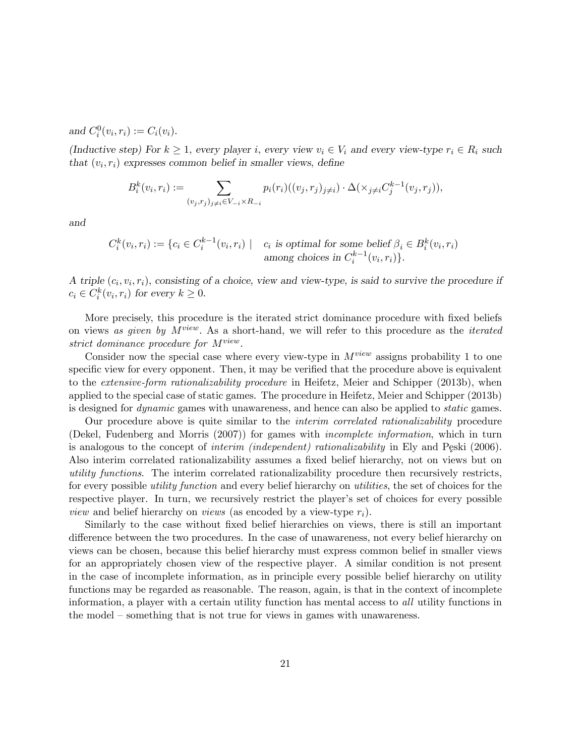and  $C_i^0(v_i, r_i) := C_i(v_i)$ .

(Inductive step) For  $k \geq 1$ , every player i, every view  $v_i \in V_i$  and every view-type  $r_i \in R_i$  such that  $(v_i, r_i)$  expresses common belief in smaller views, define

$$
B_i^k(v_i, r_i) := \sum_{(v_j, r_j)_{j \neq i} \in V_{-i} \times R_{-i}} p_i(r_i)((v_j, r_j)_{j \neq i}) \cdot \Delta(\times_{j \neq i} C_j^{k-1}(v_j, r_j)),
$$

and

$$
C_i^k(v_i, r_i) := \{c_i \in C_i^{k-1}(v_i, r_i) \mid c_i \text{ is optimal for some belief } \beta_i \in B_i^k(v_i, r_i) \text{ among choices in } C_i^{k-1}(v_i, r_i)\}.
$$

A triple  $(c_i, v_i, r_i)$ , consisting of a choice, view and view-type, is said to survive the procedure if  $c_i \in C_i^k(v_i, r_i)$  for every  $k \geq 0$ .

More precisely, this procedure is the iterated strict dominance procedure with fixed beliefs on views as given by  $M^{view}$ . As a short-hand, we will refer to this procedure as the *iterated* strict dominance procedure for  $M^{view}$ .

Consider now the special case where every view-type in  $M^{view}$  assigns probability 1 to one specific view for every opponent. Then, it may be verified that the procedure above is equivalent to the *extensive-form rationalizability procedure* in Heifetz, Meier and Schipper (2013b), when applied to the special case of static games. The procedure in Heifetz, Meier and Schipper (2013b) is designed for dynamic games with unawareness, and hence can also be applied to static games.

Our procedure above is quite similar to the interim correlated rationalizability procedure (Dekel, Fudenberg and Morris (2007)) for games with incomplete information, which in turn is analogous to the concept of *interim (independent)* rationalizability in Ely and Peski (2006). Also interim correlated rationalizability assumes a fixed belief hierarchy, not on views but on utility functions. The interim correlated rationalizability procedure then recursively restricts, for every possible utility function and every belief hierarchy on utilities, the set of choices for the respective player. In turn, we recursively restrict the player's set of choices for every possible *view* and belief hierarchy on *views* (as encoded by a view-type  $r_i$ ).

Similarly to the case without fixed belief hierarchies on views, there is still an important difference between the two procedures. In the case of unawareness, not every belief hierarchy on views can be chosen, because this belief hierarchy must express common belief in smaller views for an appropriately chosen view of the respective player. A similar condition is not present in the case of incomplete information, as in principle every possible belief hierarchy on utility functions may be regarded as reasonable. The reason, again, is that in the context of incomplete information, a player with a certain utility function has mental access to all utility functions in the model – something that is not true for views in games with unawareness.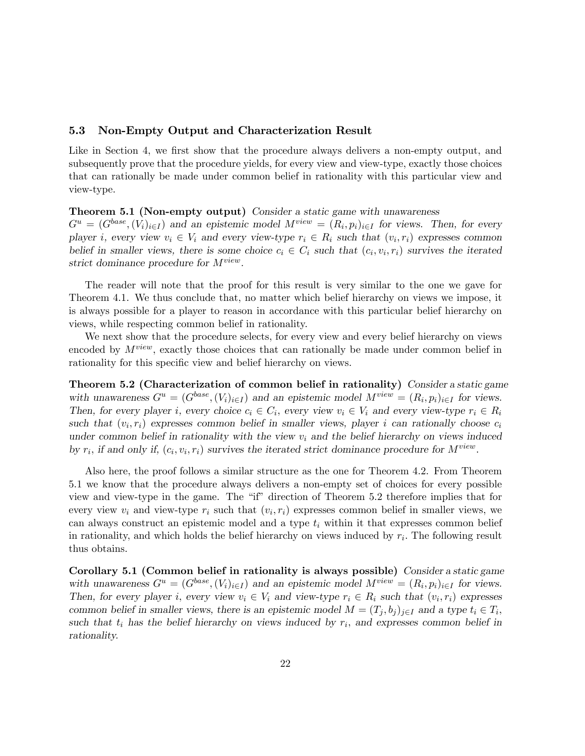#### 5.3 Non-Empty Output and Characterization Result

Like in Section 4, we first show that the procedure always delivers a non-empty output, and subsequently prove that the procedure yields, for every view and view-type, exactly those choices that can rationally be made under common belief in rationality with this particular view and view-type.

#### Theorem 5.1 (Non-empty output) Consider a static game with unawareness

 $G^u = (G^{base}, (V_i)_{i \in I})$  and an epistemic model  $M^{view} = (R_i, p_i)_{i \in I}$  for views. Then, for every player *i*, every view  $v_i \in V_i$  and every view-type  $r_i \in R_i$  such that  $(v_i, r_i)$  expresses common belief in smaller views, there is some choice  $c_i \in C_i$  such that  $(c_i, v_i, r_i)$  survives the iterated strict dominance procedure for  $M^{view}$ .

The reader will note that the proof for this result is very similar to the one we gave for Theorem 4.1. We thus conclude that, no matter which belief hierarchy on views we impose, it is always possible for a player to reason in accordance with this particular belief hierarchy on views, while respecting common belief in rationality.

We next show that the procedure selects, for every view and every belief hierarchy on views encoded by  $M^{view}$ , exactly those choices that can rationally be made under common belief in rationality for this specific view and belief hierarchy on views.

Theorem 5.2 (Characterization of common belief in rationality) Consider a static game with unawareness  $G^u = (G^{base}, (V_i)_{i \in I})$  and an epistemic model  $M^{view} = (R_i, p_i)_{i \in I}$  for views. Then, for every player *i*, every choice  $c_i \in C_i$ , every view  $v_i \in V_i$  and every view-type  $r_i \in R_i$ such that  $(v_i, r_i)$  expresses common belief in smaller views, player i can rationally choose  $c_i$ under common belief in rationality with the view  $v_i$  and the belief hierarchy on views induced by  $r_i$ , if and only if,  $(c_i, v_i, r_i)$  survives the iterated strict dominance procedure for  $M^{view}$ .

Also here, the proof follows a similar structure as the one for Theorem 4.2. From Theorem 5.1 we know that the procedure always delivers a non-empty set of choices for every possible view and view-type in the game. The "if" direction of Theorem 5.2 therefore implies that for every view  $v_i$  and view-type  $r_i$  such that  $(v_i, r_i)$  expresses common belief in smaller views, we can always construct an epistemic model and a type  $t_i$  within it that expresses common belief in rationality, and which holds the belief hierarchy on views induced by  $r_i$ . The following result thus obtains.

Corollary 5.1 (Common belief in rationality is always possible) Consider a static game with unawareness  $G^u = (G^{base}, (V_i)_{i \in I})$  and an epistemic model  $M^{view} = (R_i, p_i)_{i \in I}$  for views. Then, for every player *i*, every view  $v_i \in V_i$  and view-type  $r_i \in R_i$  such that  $(v_i, r_i)$  expresses common belief in smaller views, there is an epistemic model  $M = (T_j, b_j)_{j \in I}$  and a type  $t_i \in T_i$ , such that  $t_i$  has the belief hierarchy on views induced by  $r_i$ , and expresses common belief in rationality.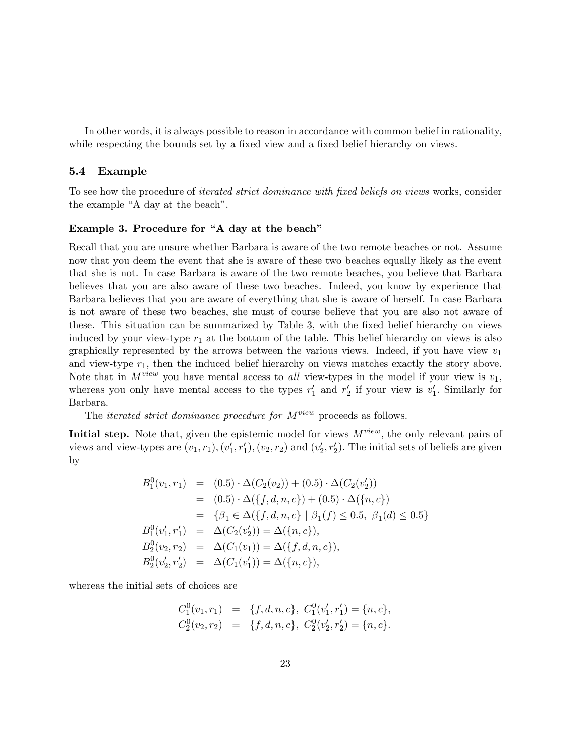In other words, it is always possible to reason in accordance with common belief in rationality, while respecting the bounds set by a fixed view and a fixed belief hierarchy on views.

#### 5.4 Example

To see how the procedure of *iterated strict dominance with fixed beliefs on views* works, consider the example "A day at the beach".

# Example 3. Procedure for "A day at the beach"

Recall that you are unsure whether Barbara is aware of the two remote beaches or not. Assume now that you deem the event that she is aware of these two beaches equally likely as the event that she is not. In case Barbara is aware of the two remote beaches, you believe that Barbara believes that you are also aware of these two beaches. Indeed, you know by experience that Barbara believes that you are aware of everything that she is aware of herself. In case Barbara is not aware of these two beaches, she must of course believe that you are also not aware of these. This situation can be summarized by Table 3, with the fixed belief hierarchy on views induced by your view-type  $r_1$  at the bottom of the table. This belief hierarchy on views is also graphically represented by the arrows between the various views. Indeed, if you have view  $v_1$ and view-type  $r_1$ , then the induced belief hierarchy on views matches exactly the story above. Note that in  $M^{view}$  you have mental access to all view-types in the model if your view is  $v_1$ , whereas you only have mental access to the types  $r'_1$  and  $r'_2$  if your view is  $v'_1$ . Similarly for Barbara.

The *iterated strict dominance procedure for*  $M^{view}$  *proceeds as follows.* 

**Initial step.** Note that, given the epistemic model for views  $M^{view}$ , the only relevant pairs of views and view-types are  $(v_1, r_1), (v'_1, r'_1), (v_2, r_2)$  and  $(v'_2, r'_2)$ . The initial sets of beliefs are given by

$$
B_1^0(v_1, r_1) = (0.5) \cdot \Delta(C_2(v_2)) + (0.5) \cdot \Delta(C_2(v_2'))
$$
  
\n
$$
= (0.5) \cdot \Delta(\{f, d, n, c\}) + (0.5) \cdot \Delta(\{n, c\})
$$
  
\n
$$
= \{\beta_1 \in \Delta(\{f, d, n, c\} \mid \beta_1(f) \le 0.5, \ \beta_1(d) \le 0.5\}
$$
  
\n
$$
B_1^0(v_1', r_1') = \Delta(C_2(v_2')) = \Delta(\{n, c\}),
$$
  
\n
$$
B_2^0(v_2, r_2) = \Delta(C_1(v_1)) = \Delta(\{f, d, n, c\}),
$$
  
\n
$$
B_2^0(v_2', r_2') = \Delta(C_1(v_1')) = \Delta(\{n, c\}),
$$

whereas the initial sets of choices are

$$
C_1^0(v_1, r_1) = \{f, d, n, c\}, C_1^0(v'_1, r'_1) = \{n, c\},C_2^0(v_2, r_2) = \{f, d, n, c\}, C_2^0(v'_2, r'_2) = \{n, c\}.
$$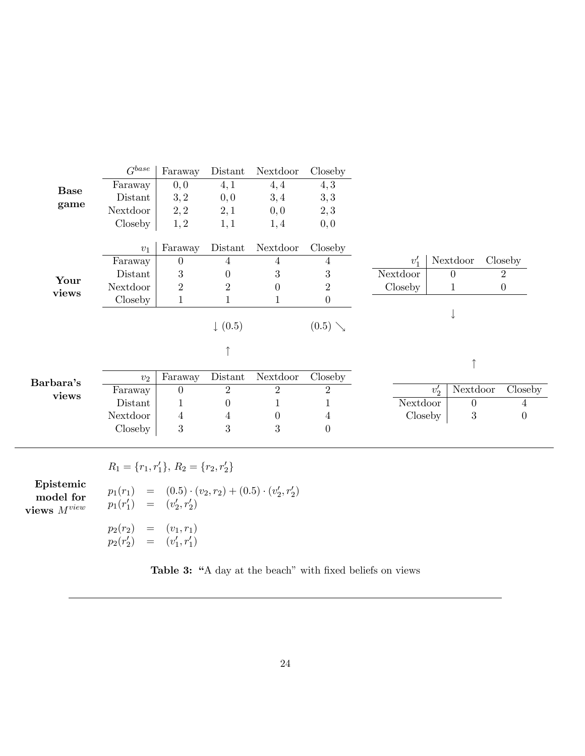| <b>Base</b><br>game | $G^{base}$                                 | Faraway          | Distant            | Nextdoor         | Closeby          |          |          |                |                  |                |  |
|---------------------|--------------------------------------------|------------------|--------------------|------------------|------------------|----------|----------|----------------|------------------|----------------|--|
|                     | Faraway                                    | 0,0              | 4,1                | 4, 4             | 4, 3             |          |          |                |                  |                |  |
|                     | Distant                                    | 3,2              | 0, 0               | 3,4              | 3,3              |          |          |                |                  |                |  |
|                     | Nextdoor                                   | 2, 2             | 2,1                | 0,0              | 2,3              |          |          |                |                  |                |  |
|                     | Closeby                                    | 1, 2             | 1,1                | 1,4              | 0, 0             |          |          |                |                  |                |  |
|                     | $v_1$                                      | Faraway          | Distant            | Nextdoor         | Closeby          |          |          |                |                  |                |  |
| Your<br>views       | Faraway                                    | 0                | 4                  | 4                | 4                | $v_1'$   |          | Nextdoor       |                  | Closeby        |  |
|                     | Distant                                    | $\boldsymbol{3}$ | $\theta$           | 3                | 3                | Nextdoor |          | $\overline{0}$ |                  | $\sqrt{2}$     |  |
|                     | Nextdoor                                   | $\overline{2}$   | $\overline{2}$     | $\theta$         | $\overline{2}$   | Closeby  |          | $\mathbf{1}$   | $\boldsymbol{0}$ |                |  |
|                     | Closeby                                    | 1                | $\mathbf 1$        | 1                | $\overline{0}$   |          |          |                |                  |                |  |
|                     |                                            |                  |                    |                  |                  |          |          | ↓              |                  |                |  |
|                     |                                            |                  | $\downarrow$ (0.5) |                  | $(0.5) \searrow$ |          |          |                |                  |                |  |
| Barbara's<br>views  |                                            |                  | ↑                  |                  |                  |          |          |                |                  |                |  |
|                     | v <sub>2</sub>                             | Faraway          | Distant            | Nextdoor         | Closeby          |          |          |                |                  |                |  |
|                     | Faraway                                    | 0                | $\overline{2}$     | $\overline{2}$   | $\overline{2}$   |          | $v_2'$   | Nextdoor       |                  | Closeby        |  |
|                     | Distant                                    |                  | $\theta$           | 1                | 1                |          | Nextdoor |                |                  | $\overline{4}$ |  |
|                     | Nextdoor                                   | 4                | 4                  | $\boldsymbol{0}$ | $\overline{4}$   |          | Closeby  |                |                  | $\theta$       |  |
|                     | Closeby                                    | 3                | 3                  | 3                | $\theta$         |          |          |                |                  |                |  |
|                     |                                            |                  |                    |                  |                  |          |          |                |                  |                |  |
|                     | $R_1 = \{r_1, r_1'\}, R_2 = \{r_2, r_2'\}$ |                  |                    |                  |                  |          |          |                |                  |                |  |

Epistemic model for views  $M^{view}$ 

 $p_1(r_1) = (0.5) \cdot (v_2, r_2) + (0.5) \cdot (v_2', r_2')$  $p_1(r'_1) = (v'_2, r'_2)$ 

 $p_2(r_2) = (v_1, r_1)$  $p_2(r'_2) = (v'_1, r'_1)$ 

Table 3: "A day at the beach" with fixed beliefs on views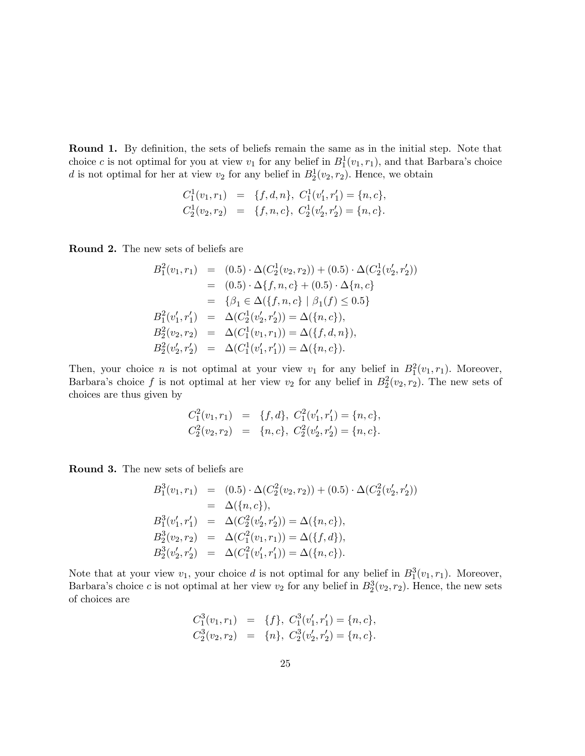Round 1. By definition, the sets of beliefs remain the same as in the initial step. Note that choice c is not optimal for you at view  $v_1$  for any belief in  $B_1^1(v_1,r_1)$ , and that Barbara's choice d is not optimal for her at view  $v_2$  for any belief in  $B_2^1(v_2, r_2)$ . Hence, we obtain

$$
C_1^1(v_1, r_1) = \{f, d, n\}, C_1^1(v'_1, r'_1) = \{n, c\},C_2^1(v_2, r_2) = \{f, n, c\}, C_2^1(v'_2, r'_2) = \{n, c\}.
$$

Round 2. The new sets of beliefs are

$$
B_1^2(v_1, r_1) = (0.5) \cdot \Delta(C_2^1(v_2, r_2)) + (0.5) \cdot \Delta(C_2^1(v_2', r_2'))
$$
  
\n
$$
= (0.5) \cdot \Delta\{f, n, c\} + (0.5) \cdot \Delta\{n, c\}
$$
  
\n
$$
= \{\beta_1 \in \Delta(\{f, n, c\} \mid \beta_1(f) \le 0.5\}
$$
  
\n
$$
B_1^2(v_1', r_1') = \Delta(C_2^1(v_2', r_2')) = \Delta(\{n, c\}),
$$
  
\n
$$
B_2^2(v_2, r_2) = \Delta(C_1^1(v_1, r_1)) = \Delta(\{f, d, n\}),
$$
  
\n
$$
B_2^2(v_2', r_2') = \Delta(C_1^1(v_1', r_1')) = \Delta(\{n, c\}).
$$

Then, your choice *n* is not optimal at your view  $v_1$  for any belief in  $B_1^2(v_1, r_1)$ . Moreover, Barbara's choice f is not optimal at her view  $v_2$  for any belief in  $B_2^2(v_2, r_2)$ . The new sets of choices are thus given by

$$
C_1^2(v_1, r_1) = \{f, d\}, C_1^2(v'_1, r'_1) = \{n, c\},C_2^2(v_2, r_2) = \{n, c\}, C_2^2(v'_2, r'_2) = \{n, c\}.
$$

Round 3. The new sets of beliefs are

$$
B_1^3(v_1, r_1) = (0.5) \cdot \Delta(C_2^2(v_2, r_2)) + (0.5) \cdot \Delta(C_2^2(v_2', r_2'))
$$
  
\n
$$
= \Delta(\{n, c\}),
$$
  
\n
$$
B_1^3(v_1', r_1') = \Delta(C_2^2(v_2', r_2')) = \Delta(\{n, c\}),
$$
  
\n
$$
B_2^3(v_2, r_2) = \Delta(C_1^2(v_1, r_1)) = \Delta(\{f, d\}),
$$
  
\n
$$
B_2^3(v_2', r_2') = \Delta(C_1^2(v_1', r_1')) = \Delta(\{n, c\}).
$$

Note that at your view  $v_1$ , your choice d is not optimal for any belief in  $B_1^3(v_1,r_1)$ . Moreover, Barbara's choice c is not optimal at her view  $v_2$  for any belief in  $B_2^3(v_2, r_2)$ . Hence, the new sets of choices are

$$
C_1^3(v_1, r_1) = \{f\}, C_1^3(v'_1, r'_1) = \{n, c\},C_2^3(v_2, r_2) = \{n\}, C_2^3(v'_2, r'_2) = \{n, c\}.
$$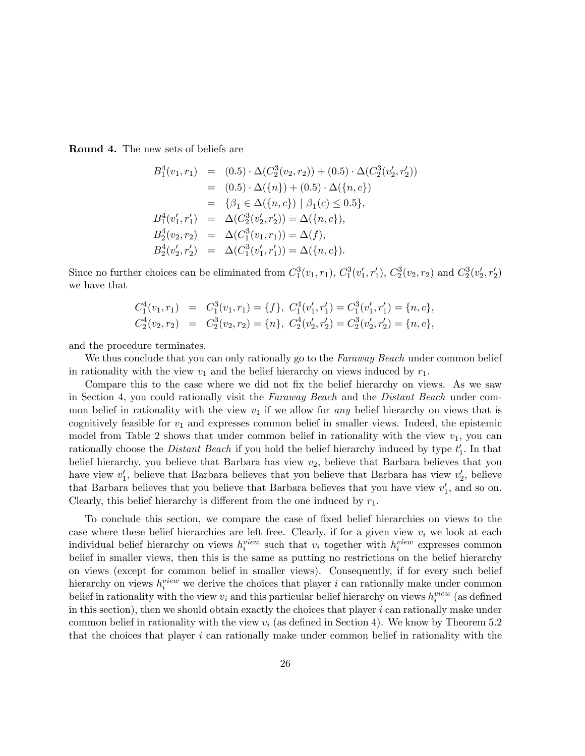Round 4. The new sets of beliefs are

$$
B_1^4(v_1, r_1) = (0.5) \cdot \Delta(C_2^3(v_2, r_2)) + (0.5) \cdot \Delta(C_2^3(v_2', r_2'))
$$
  
\n
$$
= (0.5) \cdot \Delta(\{n\}) + (0.5) \cdot \Delta(\{n, c\})
$$
  
\n
$$
= \{\beta_1 \in \Delta(\{n, c\}) \mid \beta_1(c) \le 0.5\},
$$
  
\n
$$
B_1^4(v_1', r_1') = \Delta(C_2^3(v_2', r_2')) = \Delta(\{n, c\}),
$$
  
\n
$$
B_2^4(v_2, r_2) = \Delta(C_1^3(v_1, r_1)) = \Delta(f),
$$
  
\n
$$
B_2^4(v_2', r_2') = \Delta(C_1^3(v_1', r_1')) = \Delta(\{n, c\}).
$$

Since no further choices can be eliminated from  $C_1^3(v_1, r_1)$ ,  $C_1^3(v'_1, r'_1)$ ,  $C_2^3(v_2, r_2)$  and  $C_2^3(v'_2, r'_2)$ we have that

$$
C_1^4(v_1, r_1) = C_1^3(v_1, r_1) = \{f\}, C_1^4(v'_1, r'_1) = C_1^3(v'_1, r'_1) = \{n, c\},C_2^4(v_2, r_2) = C_2^3(v_2, r_2) = \{n\}, C_2^4(v'_2, r'_2) = C_2^3(v'_2, r'_2) = \{n, c\},
$$

and the procedure terminates.

We thus conclude that you can only rationally go to the Faraway Beach under common belief in rationality with the view  $v_1$  and the belief hierarchy on views induced by  $r_1$ .

Compare this to the case where we did not fix the belief hierarchy on views. As we saw in Section 4, you could rationally visit the Faraway Beach and the Distant Beach under common belief in rationality with the view  $v_1$  if we allow for any belief hierarchy on views that is cognitively feasible for  $v_1$  and expresses common belief in smaller views. Indeed, the epistemic model from Table 2 shows that under common belief in rationality with the view  $v_1$ , you can rationally choose the *Distant Beach* if you hold the belief hierarchy induced by type  $t_1'$ . In that belief hierarchy, you believe that Barbara has view  $v_2$ , believe that Barbara believes that you have view  $v_1'$ , believe that Barbara believes that you believe that Barbara has view  $v_2'$ , believe that Barbara believes that you believe that Barbara believes that you have view  $v_1'$ , and so on. Clearly, this belief hierarchy is different from the one induced by  $r_1$ .

To conclude this section, we compare the case of Öxed belief hierarchies on views to the case where these belief hierarchies are left free. Clearly, if for a given view  $v_i$  we look at each individual belief hierarchy on views  $h_i^{view}$  such that  $v_i$  together with  $h_i^{view}$  expresses common belief in smaller views, then this is the same as putting no restrictions on the belief hierarchy on views (except for common belief in smaller views). Consequently, if for every such belief hierarchy on views  $h_i^{view}$  we derive the choices that player i can rationally make under common belief in rationality with the view  $v_i$  and this particular belief hierarchy on views  $h_i^{view}$  (as defined in this section), then we should obtain exactly the choices that player  $i$  can rationally make under common belief in rationality with the view  $v_i$  (as defined in Section 4). We know by Theorem 5.2 that the choices that player  $i$  can rationally make under common belief in rationality with the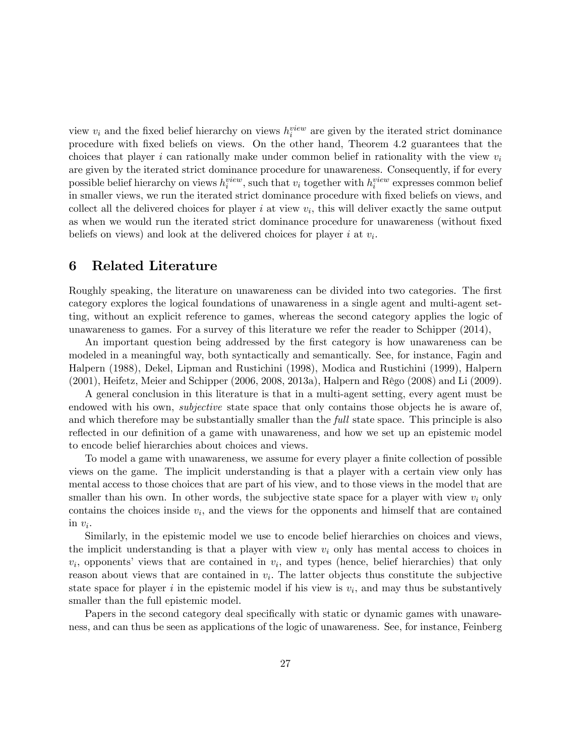view  $v_i$  and the fixed belief hierarchy on views  $h_i^{view}$  are given by the iterated strict dominance procedure with Öxed beliefs on views. On the other hand, Theorem 4.2 guarantees that the choices that player i can rationally make under common belief in rationality with the view  $v_i$ are given by the iterated strict dominance procedure for unawareness. Consequently, if for every possible belief hierarchy on views  $h_i^{view}$ , such that  $v_i$  together with  $h_i^{view}$  expresses common belief in smaller views, we run the iterated strict dominance procedure with fixed beliefs on views, and collect all the delivered choices for player  $i$  at view  $v_i$ , this will deliver exactly the same output as when we would run the iterated strict dominance procedure for unawareness (without fixed beliefs on views) and look at the delivered choices for player  $i$  at  $v_i$ .

# 6 Related Literature

Roughly speaking, the literature on unawareness can be divided into two categories. The first category explores the logical foundations of unawareness in a single agent and multi-agent setting, without an explicit reference to games, whereas the second category applies the logic of unawareness to games. For a survey of this literature we refer the reader to Schipper (2014),

An important question being addressed by the first category is how unawareness can be modeled in a meaningful way, both syntactically and semantically. See, for instance, Fagin and Halpern (1988), Dekel, Lipman and Rustichini (1998), Modica and Rustichini (1999), Halpern  $(2001)$ , Heifetz, Meier and Schipper  $(2006, 2008, 2013a)$ , Halpern and Rêgo  $(2008)$  and Li  $(2009)$ .

A general conclusion in this literature is that in a multi-agent setting, every agent must be endowed with his own, *subjective* state space that only contains those objects he is aware of, and which therefore may be substantially smaller than the *full* state space. This principle is also reflected in our definition of a game with unawareness, and how we set up an epistemic model to encode belief hierarchies about choices and views.

To model a game with unawareness, we assume for every player a finite collection of possible views on the game. The implicit understanding is that a player with a certain view only has mental access to those choices that are part of his view, and to those views in the model that are smaller than his own. In other words, the subjective state space for a player with view  $v_i$  only contains the choices inside  $v_i$ , and the views for the opponents and himself that are contained  $\text{in } v_i.$ 

Similarly, in the epistemic model we use to encode belief hierarchies on choices and views, the implicit understanding is that a player with view  $v_i$  only has mental access to choices in  $v_i$ , opponents' views that are contained in  $v_i$ , and types (hence, belief hierarchies) that only reason about views that are contained in  $v_i$ . The latter objects thus constitute the subjective state space for player  $i$  in the epistemic model if his view is  $v_i$ , and may thus be substantively smaller than the full epistemic model.

Papers in the second category deal specifically with static or dynamic games with unawareness, and can thus be seen as applications of the logic of unawareness. See, for instance, Feinberg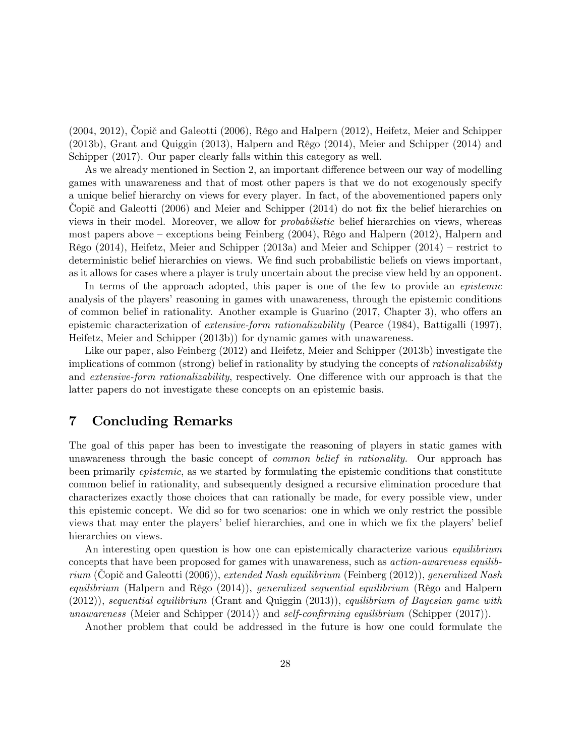$(2004, 2012)$ , Copič and Galeotti  $(2006)$ , Rêgo and Halpern  $(2012)$ , Heifetz, Meier and Schipper  $(2013b)$ , Grant and Quiggin  $(2013)$ , Halpern and Rêgo  $(2014)$ , Meier and Schipper  $(2014)$  and Schipper (2017). Our paper clearly falls within this category as well.

As we already mentioned in Section 2, an important difference between our way of modelling games with unawareness and that of most other papers is that we do not exogenously specify a unique belief hierarchy on views for every player. In fact, of the abovementioned papers only Copič and Galeotti (2006) and Meier and Schipper (2014) do not fix the belief hierarchies on views in their model. Moreover, we allow for probabilistic belief hierarchies on views, whereas most papers above  $-$  exceptions being Feinberg (2004), Rêgo and Halpern (2012), Halpern and Rêgo (2014), Heifetz, Meier and Schipper (2013a) and Meier and Schipper (2014) – restrict to deterministic belief hierarchies on views. We find such probabilistic beliefs on views important, as it allows for cases where a player is truly uncertain about the precise view held by an opponent.

In terms of the approach adopted, this paper is one of the few to provide an *epistemic* analysis of the players' reasoning in games with unawareness, through the epistemic conditions of common belief in rationality. Another example is Guarino  $(2017,$  Chapter 3), who offers an epistemic characterization of extensive-form rationalizability (Pearce (1984), Battigalli (1997), Heifetz, Meier and Schipper (2013b)) for dynamic games with unawareness.

Like our paper, also Feinberg (2012) and Heifetz, Meier and Schipper (2013b) investigate the implications of common (strong) belief in rationality by studying the concepts of rationalizability and extensive-form rationalizability, respectively. One difference with our approach is that the latter papers do not investigate these concepts on an epistemic basis.

# 7 Concluding Remarks

The goal of this paper has been to investigate the reasoning of players in static games with unawareness through the basic concept of *common belief in rationality*. Our approach has been primarily epistemic, as we started by formulating the epistemic conditions that constitute common belief in rationality, and subsequently designed a recursive elimination procedure that characterizes exactly those choices that can rationally be made, for every possible view, under this epistemic concept. We did so for two scenarios: one in which we only restrict the possible views that may enter the players' belief hierarchies, and one in which we fix the players' belief hierarchies on views.

An interesting open question is how one can epistemically characterize various *equilibrium* concepts that have been proposed for games with unawareness, such as action-awareness equilibrium (Copič and Galeotti (2006)), extended Nash equilibrium (Feinberg (2012)), generalized Nash equilibrium (Halpern and Rêgo  $(2014)$ ), generalized sequential equilibrium (Rêgo and Halpern (2012)), sequential equilibrium (Grant and Quiggin (2013)), equilibrium of Bayesian game with unawareness (Meier and Schipper  $(2014)$ ) and self-confirming equilibrium (Schipper  $(2017)$ ).

Another problem that could be addressed in the future is how one could formulate the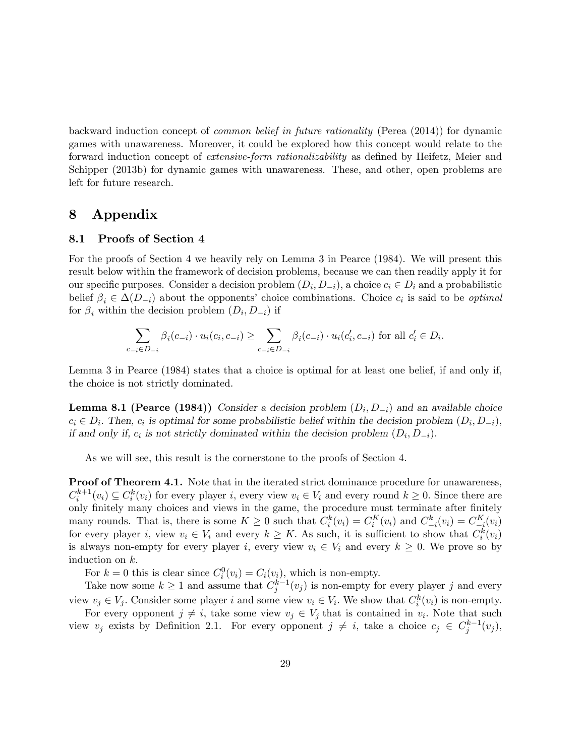backward induction concept of common belief in future rationality (Perea (2014)) for dynamic games with unawareness. Moreover, it could be explored how this concept would relate to the forward induction concept of *extensive-form rationalizability* as defined by Heifetz, Meier and Schipper (2013b) for dynamic games with unawareness. These, and other, open problems are left for future research.

# 8 Appendix

#### 8.1 Proofs of Section 4

For the proofs of Section 4 we heavily rely on Lemma 3 in Pearce (1984). We will present this result below within the framework of decision problems, because we can then readily apply it for our specific purposes. Consider a decision problem  $(D_i, D_{-i})$ , a choice  $c_i \in D_i$  and a probabilistic belief  $\beta_i \in \Delta(D_{-i})$  about the opponents' choice combinations. Choice  $c_i$  is said to be *optimal* for  $\beta_i$  within the decision problem  $(D_i, D_{-i})$  if

$$
\sum_{c_{-i}\in D_{-i}} \beta_i(c_{-i}) \cdot u_i(c_i, c_{-i}) \ge \sum_{c_{-i}\in D_{-i}} \beta_i(c_{-i}) \cdot u_i(c'_i, c_{-i}) \text{ for all } c'_i \in D_i.
$$

Lemma 3 in Pearce (1984) states that a choice is optimal for at least one belief, if and only if, the choice is not strictly dominated.

**Lemma 8.1 (Pearce (1984))** Consider a decision problem  $(D_i, D_{-i})$  and an available choice  $c_i \in D_i$ . Then,  $c_i$  is optimal for some probabilistic belief within the decision problem  $(D_i, D_{-i}),$ if and only if,  $c_i$  is not strictly dominated within the decision problem  $(D_i, D_{-i})$ .

As we will see, this result is the cornerstone to the proofs of Section 4.

Proof of Theorem 4.1. Note that in the iterated strict dominance procedure for unawareness,  $C_i^{k+1}(v_i) \subseteq C_i^k(v_i)$  for every player i, every view  $v_i \in V_i$  and every round  $k \geq 0$ . Since there are only finitely many choices and views in the game, the procedure must terminate after finitely many rounds. That is, there is some  $K \geq 0$  such that  $C_i^k(v_i) = C_i^K(v_i)$  and  $C_{-i}^k(v_i) = C_{-i}^K(v_i)$ for every player *i*, view  $v_i \in V_i$  and every  $k \geq K$ . As such, it is sufficient to show that  $C_i^k(v_i)$ is always non-empty for every player i, every view  $v_i \in V_i$  and every  $k \geq 0$ . We prove so by induction on  $k$ .

For  $k = 0$  this is clear since  $C_i^0(v_i) = C_i(v_i)$ , which is non-empty.

Take now some  $k \geq 1$  and assume that  $C_j^{k-1}(v_j)$  is non-empty for every player j and every view  $v_j \in V_j$ . Consider some player i and some view  $v_i \in V_i$ . We show that  $C_i^k(v_i)$  is non-empty.

For every opponent  $j \neq i$ , take some view  $v_j \in V_j$  that is contained in  $v_i$ . Note that such view  $v_j$  exists by Definition 2.1. For every opponent  $j \neq i$ , take a choice  $c_j \in C_j^{k-1}(v_j)$ ,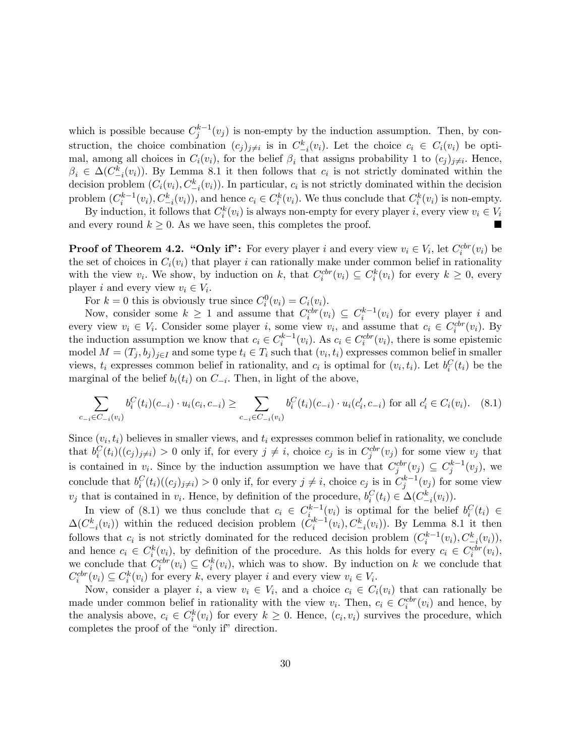which is possible because  $C_j^{k-1}(v_j)$  is non-empty by the induction assumption. Then, by construction, the choice combination  $(c_j)_{j\neq i}$  is in  $C_{-i}^k(v_i)$ . Let the choice  $c_i \in C_i(v_i)$  be optimal, among all choices in  $C_i(v_i)$ , for the belief  $\beta_i$  that assigns probability 1 to  $(c_j)_{j\neq i}$ . Hence,  $\beta_i \in \Delta(C_{-i}^k(v_i))$ . By Lemma 8.1 it then follows that  $c_i$  is not strictly dominated within the decision problem  $(C_i(v_i), C_{-i}^k(v_i))$ . In particular,  $c_i$  is not strictly dominated within the decision problem  $(C_i^{k-1}(v_i), C_{-i}^k(v_i))$ , and hence  $c_i \in C_i^k(v_i)$ . We thus conclude that  $C_i^k(v_i)$  is non-empty.  $\overline{\cdot}^i$ 

By induction, it follows that  $C_i^k(v_i)$  is always non-empty for every player i, every view  $v_i \in V_i$ and every round  $k \geq 0$ . As we have seen, this completes the proof.

**Proof of Theorem 4.2. "Only if":** For every player i and every view  $v_i \in V_i$ , let  $C_i^{ctr}(v_i)$  be the set of choices in  $C_i(v_i)$  that player i can rationally make under common belief in rationality with the view  $v_i$ . We show, by induction on k, that  $C_i^{ctr}(v_i) \subseteq C_i^{k}(v_i)$  for every  $k \geq 0$ , every player *i* and every view  $v_i \in V_i$ .

For  $k = 0$  this is obviously true since  $C_i^0(v_i) = C_i(v_i)$ .

Now, consider some  $k \geq 1$  and assume that  $C_i^{ctr}(v_i) \subseteq C_i^{k-1}(v_i)$  for every player i and every view  $v_i \in V_i$ . Consider some player i, some view  $v_i$ , and assume that  $c_i \in C_i^{ctr}(v_i)$ . By the induction assumption we know that  $c_i \in C_i^{k-1}(v_i)$ . As  $c_i \in C_i^{ctr}(v_i)$ , there is some epistemic model  $M = (T_j, b_j)_{j \in I}$  and some type  $t_i \in T_i$  such that  $(v_i, t_i)$  expresses common belief in smaller views,  $t_i$  expresses common belief in rationality, and  $c_i$  is optimal for  $(v_i, t_i)$ . Let  $b_i^C(t_i)$  be the marginal of the belief  $b_i(t_i)$  on  $C_{-i}$ . Then, in light of the above,

$$
\sum_{c_{-i}\in C_{-i}(v_i)} b_i^C(t_i)(c_{-i}) \cdot u_i(c_i, c_{-i}) \ge \sum_{c_{-i}\in C_{-i}(v_i)} b_i^C(t_i)(c_{-i}) \cdot u_i(c_i', c_{-i}) \text{ for all } c_i' \in C_i(v_i). \tag{8.1}
$$

Since  $(v_i, t_i)$  believes in smaller views, and  $t_i$  expresses common belief in rationality, we conclude that  $b_i^C(t_i)((c_j)_{j\neq i}) > 0$  only if, for every  $j \neq i$ , choice  $c_j$  is in  $C_j^{ctr}(v_j)$  for some view  $v_j$  that is contained in  $v_i$ . Since by the induction assumption we have that  $C_j^{ctr}(v_j) \subseteq C_j^{k-1}(v_j)$ , we conclude that  $b_i^C(t_i)((c_j)_{j\neq i}) > 0$  only if, for every  $j \neq i$ , choice  $c_j$  is in  $C_j^{k-1}(v_j)$  for some view  $v_j$  that is contained in  $v_i$ . Hence, by definition of the procedure,  $b_i^C(t_i) \in \Delta(C_{-i}^k(v_i))$ .  $-i$ 

In view of (8.1) we thus conclude that  $c_i \in C_i^{k-1}(v_i)$  is optimal for the belief  $b_i^C(t_i) \in$  $\Delta(C_{-i}^k(v_i))$  within the reduced decision problem  $(\tilde{C}_i^{k-1}(v_i), C_{-i}^k(v_i))$ . By Lemma 8.1 it then follows that  $c_i$  is not strictly dominated for the reduced decision problem  $(C_i^{k-1}(v_i), C_{-i}^k(v_i)),$ and hence  $c_i \in C_i^k(v_i)$ , by definition of the procedure. As this holds for every  $c_i \in C_i^{ctr}(v_i)$ , we conclude that  $C_i^{ctr}(v_i) \subseteq C_i^{k}(v_i)$ , which was to show. By induction on k we conclude that  $C_i^{ctr}(v_i) \subseteq C_i^{k}(v_i)$  for every k, every player i and every view  $v_i \in V_i$ .

Now, consider a player i, a view  $v_i \in V_i$ , and a choice  $c_i \in C_i(v_i)$  that can rationally be made under common belief in rationality with the view  $v_i$ . Then,  $c_i \in C_i^{ctr}(v_i)$  and hence, by the analysis above,  $c_i \in C_i^k(v_i)$  for every  $k \geq 0$ . Hence,  $(c_i, v_i)$  survives the procedure, which completes the proof of the "only  $if$ " direction.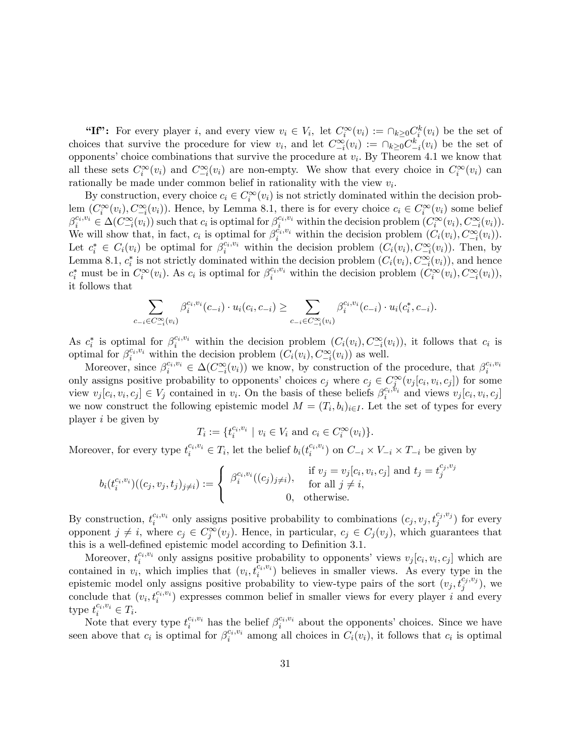"If": For every player i, and every view  $v_i \in V_i$ , let  $C_i^{\infty}(v_i) := \bigcap_{k \geq 0} C_i^k(v_i)$  be the set of choices that survive the procedure for view  $v_i$ , and let  $C_{-i}^{\infty}(v_i) := \bigcap_{k\geq 0} C_{-i}^k(v_i)$  be the set of opponents' choice combinations that survive the procedure at  $v_i$ . By Theorem 4.1 we know that all these sets  $C_i^{\infty}(v_i)$  and  $C_{-i}^{\infty}(v_i)$  are non-empty. We show that every choice in  $C_i^{\infty}(v_i)$  can rationally be made under common belief in rationality with the view  $v_i$ .

By construction, every choice  $c_i \in C_i^{\infty}(v_i)$  is not strictly dominated within the decision problem  $(C_i^{\infty}(v_i), C_{-i}^{\infty}(v_i))$ . Hence, by Lemma 8.1, there is for every choice  $c_i \in C_i^{\infty}(v_i)$  some belief  $-i$  $\beta_i^{c_i,v_i} \in \Delta(C_{-i}^{\infty}(v_i))$  such that  $c_i$  is optimal for  $\beta_i^{c_i,v_i}$  within the decision problem  $(C_i^{\infty}(v_i), C_{-i}^{\infty}(v_i))$ . We will show that, in fact,  $c_i$  is optimal for  $\beta_i^{\tilde{c}_i, v_i}$  within the decision problem  $(C_i(v_i), C_{-i}^{\infty}(v_i))$ . Let  $c_i^* \in C_i(v_i)$  be optimal for  $\beta_i^{c_i, v_i}$  within the decision problem  $(C_i(v_i), C_{i}(v_i))$ . Then, by Lemma 8.1,  $c_i^*$  is not strictly dominated within the decision problem  $(C_i(v_i), C_{-i}^{\infty}(v_i))$ , and hence  $c_i^*$  must be in  $C_i^{\infty}(v_i)$ . As  $c_i$  is optimal for  $\beta_i^{c_i, v_i}$  within the decision problem  $(C_i^{\infty}(v_i), C_{-i}^{\infty}(v_i))$ , it follows that

$$
\sum_{i \in C_{-i}^{\infty}(v_i)} \beta_i^{c_i, v_i}(c_{-i}) \cdot u_i(c_i, c_{-i}) \ge \sum_{c_{-i} \in C_{-i}^{\infty}(v_i)} \beta_i^{c_i, v_i}(c_{-i}) \cdot u_i(c_i^*, c_{-i}).
$$

As  $c_i^*$  is optimal for  $\beta_i^{c_i,v_i}$  within the decision problem  $(C_i(v_i), C_{-i}^{\infty}(v_i))$ , it follows that  $c_i$  is optimal for  $\beta_i^{c_i, v_i}$  within the decision problem  $(\tilde{C}_i(v_i), \tilde{C}_{-i}^{\infty}(v_i))$  as well.

 $c_{-}$ 

Moreover, since  $\beta_i^{c_i, v_i} \in \Delta(C_{-i}^{\infty}(v_i))$  we know, by construction of the procedure, that  $\beta_i^{c_i, v_i}$ only assigns positive probability to opponents' choices  $c_j$  where  $c_j \in C_j^{\infty}(v_j[c_i, v_i, c_j])$  for some view  $v_j[c_i, v_i, c_j] \in V_j$  contained in  $v_i$ . On the basis of these beliefs  $\beta_i^{c_i, v_i}$  and views  $v_j[c_i, v_i, c_j]$ we now construct the following epistemic model  $M = (T_i, b_i)_{i \in I}$ . Let the set of types for every player i be given by

$$
T_i := \{t_i^{c_i, v_i} \mid v_i \in V_i \text{ and } c_i \in C_i^{\infty}(v_i)\}.
$$

Moreover, for every type  $t_i^{c_i, v_i} \in T_i$ , let the belief  $b_i(t_i^{c_i, v_i})$  on  $C_{-i} \times V_{-i} \times T_{-i}$  be given by

$$
b_i(t_i^{c_i, v_i})((c_j, v_j, t_j)_{j \neq i}) := \begin{cases} \beta_i^{c_i, v_i}((c_j)_{j \neq i}), & \text{if } v_j = v_j[c_i, v_i, c_j] \text{ and } t_j = t_j^{c_j, v_j} \\ & \text{for all } j \neq i, \\ 0, & \text{otherwise.} \end{cases}
$$

By construction,  $t_i^{c_i, v_i}$  only assigns positive probability to combinations  $(c_j, v_j, t_j^{c_j, v_j})$  for every opponent  $j \neq i$ , where  $c_j \in C_j^{\infty}(v_j)$ . Hence, in particular,  $c_j \in C_j(v_j)$ , which guarantees that this is a well-defined epistemic model according to Definition 3.1.

Moreover,  $t_i^{c_i, v_i}$  only assigns positive probability to opponents' views  $v_j[c_i, v_i, c_j]$  which are i contained in  $v_i$ , which implies that  $(v_i, t_i^{c_i, v_i})$  believes in smaller views. As every type in the epistemic model only assigns positive probability to view-type pairs of the sort  $(v_j, t_j^{c_j, v_j})$ , we conclude that  $(v_i, t_i^{c_i, v_i})$  expresses common belief in smaller views for every player i and every type  $t_i^{c_i, v_i} \in T_i$ .

Note that every type  $t_i^{c_i, v_i}$  has the belief  $\beta_i^{c_i, v_i}$  about the opponents' choices. Since we have seen above that  $c_i$  is optimal for  $\beta_i^{c_i, v_i}$  among all choices in  $C_i(v_i)$ , it follows that  $c_i$  is optimal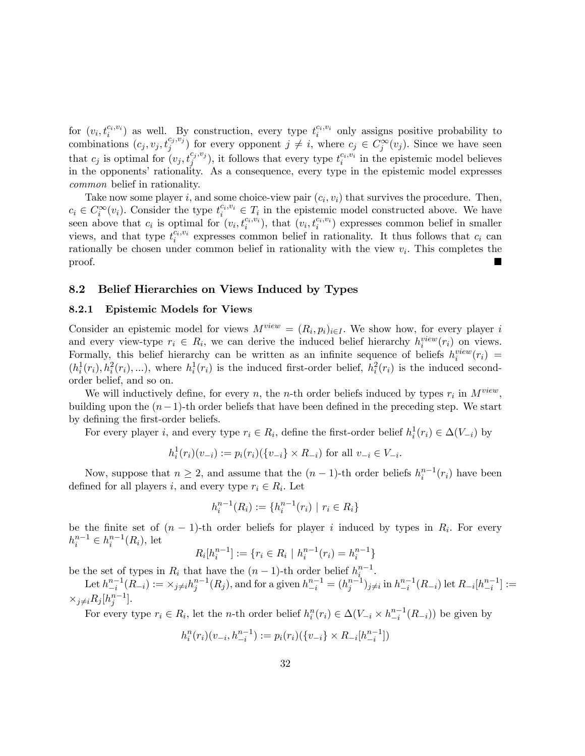for  $(v_i, t_i^{c_i, v_i})$  as well. By construction, every type  $t_i^{c_i, v_i}$  only assigns positive probability to combinations  $(c_j, v_j, t_j^{c_j, v_j})$  for every opponent  $j \neq i$ , where  $c_j \in C_j^{\infty}(v_j)$ . Since we have seen that  $c_j$  is optimal for  $(v_j, t_j^{c_j, v_j})$ , it follows that every type  $t_i^{c_i, v_i}$  in the epistemic model believes in the opponents' rationality. As a consequence, every type in the epistemic model expresses common belief in rationality.

Take now some player i, and some choice-view pair  $(c_i, v_i)$  that survives the procedure. Then,  $c_i \in C_i^{\infty}(v_i)$ . Consider the type  $t_i^{c_i, v_i} \in T_i$  in the epistemic model constructed above. We have seen above that  $c_i$  is optimal for  $(v_i, t_i^{c_i, v_i})$ , that  $(v_i, t_i^{c_i, v_i})$  expresses common belief in smaller views, and that type  $t_i^{\tilde{c}_i,v_i}$  expresses common belief in rationality. It thus follows that  $c_i$  can rationally be chosen under common belief in rationality with the view  $v_i$ . This completes the proof.

#### 8.2 Belief Hierarchies on Views Induced by Types

#### 8.2.1 Epistemic Models for Views

Consider an epistemic model for views  $M^{view} = (R_i, p_i)_{i \in I}$ . We show how, for every player i and every view-type  $r_i \in R_i$ , we can derive the induced belief hierarchy  $h_i^{view}(r_i)$  on views. Formally, this belief hierarchy can be written as an infinite sequence of beliefs  $h_i^{view}(r_i)$  =  $(h_i^1(r_i), h_i^2(r_i), \ldots)$ , where  $h_i^1(r_i)$  is the induced first-order belief,  $h_i^2(r_i)$  is the induced secondorder belief, and so on.

We will inductively define, for every n, the n-th order beliefs induced by types  $r_i$  in  $M^{view}$ , building upon the  $(n-1)$ -th order beliefs that have been defined in the preceding step. We start by defining the first-order beliefs.

For every player *i*, and every type  $r_i \in R_i$ , define the first-order belief  $h_i^1(r_i) \in \Delta(V_{-i})$  by

$$
h_i^1(r_i)(v_{-i}) := p_i(r_i)(\{v_{-i}\} \times R_{-i}) \text{ for all } v_{-i} \in V_{-i}.
$$

Now, suppose that  $n \geq 2$ , and assume that the  $(n-1)$ -th order beliefs  $h_i^{n-1}(r_i)$  have been defined for all players *i*, and every type  $r_i \in R_i$ . Let

$$
h_i^{n-1}(R_i) := \{ h_i^{n-1}(r_i) \mid r_i \in R_i \}
$$

be the finite set of  $(n-1)$ -th order beliefs for player i induced by types in  $R_i$ . For every  $h_i^{n-1} \in h_i^{n-1}(R_i)$ , let

$$
R_i[h_i^{n-1}] := \{ r_i \in R_i \mid h_i^{n-1}(r_i) = h_i^{n-1} \}
$$

be the set of types in  $R_i$  that have the  $(n-1)$ -th order belief  $h_i^{n-1}$ .

Let  $h_{-i}^{n-1}(R_{-i}) := \times_{j \neq i} h_j^{n-1}(R_j)$ , and for a given  $h_{-i}^{n-1} = (h_j^{n-1})_{j \neq i}$  in  $h_{-i}^{n-1}(R_{-i})$  let  $R_{-i}[h_{-i}^{n-1}] :=$  $\times_{j\neq i} R_j[h_j^{n-1}].$ 

For every type  $r_i \in R_i$ , let the *n*-th order belief  $h_i^n(r_i) \in \Delta(V_{-i} \times h_{-i}^{n-1}(R_{-i}))$  be given by

$$
h_i^n(r_i)(v_{-i}, h_{-i}^{n-1}) := p_i(r_i)(\{v_{-i}\} \times R_{-i}[h_{-i}^{n-1}])
$$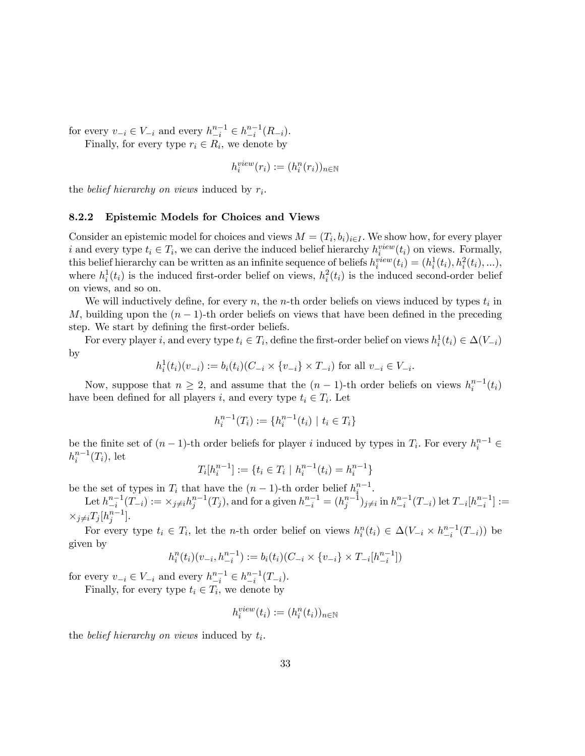for every  $v_{-i} \in V_{-i}$  and every  $h_{-i}^{n-1} \in h_{-i}^{n-1}(R_{-i}).$ 

Finally, for every type  $r_i \in R_i$ , we denote by

$$
h_i^{view}(r_i) := (h_i^n(r_i))_{n \in \mathbb{N}}
$$

the *belief hierarchy on views* induced by  $r_i$ .

#### 8.2.2 Epistemic Models for Choices and Views

Consider an epistemic model for choices and views  $M = (T_i, b_i)_{i \in I}$ . We show how, for every player i and every type  $t_i \in T_i$ , we can derive the induced belief hierarchy  $h_i^{view}(t_i)$  on views. Formally, this belief hierarchy can be written as an infinite sequence of beliefs  $h_i^{view}(t_i) = (h_i^1(t_i), h_i^2(t_i), \ldots),$ where  $h_i^1(t_i)$  is the induced first-order belief on views,  $h_i^2(t_i)$  is the induced second-order belief on views, and so on.

We will inductively define, for every  $n$ , the *n*-th order beliefs on views induced by types  $t_i$  in M, building upon the  $(n - 1)$ -th order beliefs on views that have been defined in the preceding step. We start by defining the first-order beliefs.

For every player *i*, and every type  $t_i \in T_i$ , define the first-order belief on views  $h_i^1(t_i) \in \Delta(V_{-i})$ by

$$
h_i^1(t_i)(v_{-i}) := b_i(t_i)(C_{-i} \times \{v_{-i}\} \times T_{-i}) \text{ for all } v_{-i} \in V_{-i}.
$$

Now, suppose that  $n \geq 2$ , and assume that the  $(n-1)$ -th order beliefs on views  $h_i^{n-1}(t_i)$ have been defined for all players *i*, and every type  $t_i \in T_i$ . Let

$$
h_i^{n-1}(T_i) := \{ h_i^{n-1}(t_i) \mid t_i \in T_i \}
$$

be the finite set of  $(n-1)$ -th order beliefs for player i induced by types in  $T_i$ . For every  $h_i^{n-1} \in$  $h_i^{n-1}(T_i)$ , let

$$
T_i[h_i^{n-1}] := \{ t_i \in T_i \mid h_i^{n-1}(t_i) = h_i^{n-1} \}
$$

be the set of types in  $T_i$  that have the  $(n-1)$ -th order belief  $h_i^{n-1}$ .

Let 
$$
h_{-i}^{n-1}(T_{-i}) := \times_{j \neq i} h_j^{n-1}(T_j)
$$
, and for a given  $h_{-i}^{n-1} = (h_j^{n-1})_{j \neq i}$  in  $h_{-i}^{n-1}(T_{-i})$  let  $T_{-i}[h_{-i}^{n-1}] := \times_{j \neq i} T_j[h_j^{n-1}]$ .

For every type  $t_i \in T_i$ , let the *n*-th order belief on views  $h_i^n(t_i) \in \Delta(V_{-i} \times h_{-i}^{n-1}(T_{-i}))$  be given by

$$
h_i^n(t_i)(v_{-i}, h_{-i}^{n-1}) := b_i(t_i)(C_{-i} \times \{v_{-i}\} \times T_{-i}[h_{-i}^{n-1}])
$$

for every  $v_{-i} \in V_{-i}$  and every  $h_{-i}^{n-1} \in h_{-i}^{n-1}(T_{-i}).$ 

Finally, for every type  $t_i \in T_i$ , we denote by

$$
h_i^{view}(t_i) := (h_i^n(t_i))_{n \in \mathbb{N}}
$$

the *belief hierarchy on views* induced by  $t_i$ .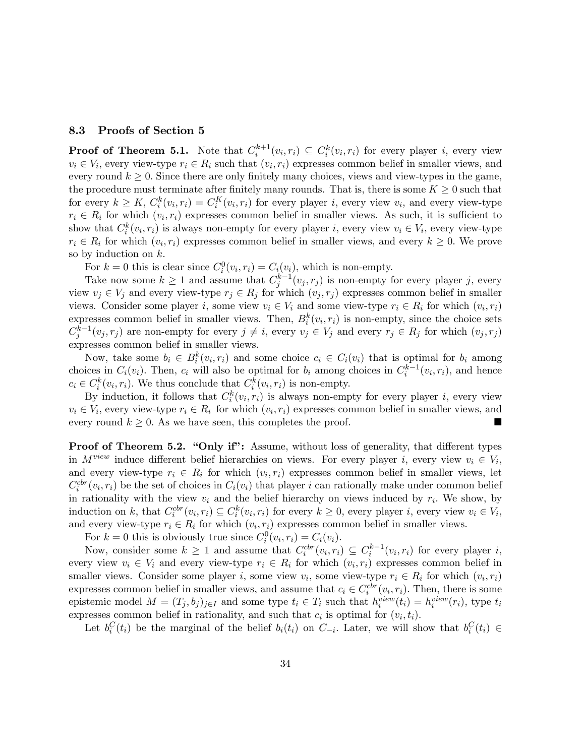#### 8.3 Proofs of Section 5

**Proof of Theorem 5.1.** Note that  $C_i^{k+1}(v_i, r_i) \subseteq C_i^k(v_i, r_i)$  for every player i, every view  $v_i \in V_i$ , every view-type  $r_i \in R_i$  such that  $(v_i, r_i)$  expresses common belief in smaller views, and every round  $k \geq 0$ . Since there are only finitely many choices, views and view-types in the game, the procedure must terminate after finitely many rounds. That is, there is some  $K \geq 0$  such that for every  $k \geq K$ ,  $C_i^k(v_i, r_i) = C_i^K(v_i, r_i)$  for every player *i*, every view  $v_i$ , and every view-type  $r_i \in R_i$  for which  $(v_i, r_i)$  expresses common belief in smaller views. As such, it is sufficient to show that  $C_i^k(v_i, r_i)$  is always non-empty for every player i, every view  $v_i \in V_i$ , every view-type  $r_i \in R_i$  for which  $(v_i, r_i)$  expresses common belief in smaller views, and every  $k \geq 0$ . We prove so by induction on  $k$ .

For  $k = 0$  this is clear since  $C_i^0(v_i, r_i) = C_i(v_i)$ , which is non-empty.

Take now some  $k \geq 1$  and assume that  $C_j^{k-1}(v_j, r_j)$  is non-empty for every player j, every view  $v_j \in V_j$  and every view-type  $r_j \in R_j$  for which  $(v_j, r_j)$  expresses common belief in smaller views. Consider some player *i*, some view  $v_i \in V_i$  and some view-type  $r_i \in R_i$  for which  $(v_i, r_i)$ expresses common belief in smaller views. Then,  $B_i^k(v_i, r_i)$  is non-empty, since the choice sets  $C_j^{k-1}(v_j,r_j)$  are non-empty for every  $j \neq i$ , every  $v_j \in V_j$  and every  $r_j \in R_j$  for which  $(v_j,r_j)$ expresses common belief in smaller views.

Now, take some  $b_i \in B_i^k(v_i, r_i)$  and some choice  $c_i \in C_i(v_i)$  that is optimal for  $b_i$  among choices in  $C_i(v_i)$ . Then,  $c_i$  will also be optimal for  $b_i$  among choices in  $C_i^{k-1}(v_i,r_i)$ , and hence  $c_i \in C_i^k(v_i, r_i)$ . We thus conclude that  $C_i^k(v_i, r_i)$  is non-empty.

By induction, it follows that  $C_i^k(v_i, r_i)$  is always non-empty for every player i, every view  $v_i \in V_i$ , every view-type  $r_i \in R_i$  for which  $(v_i, r_i)$  expresses common belief in smaller views, and every round  $k \geq 0$ . As we have seen, this completes the proof.

**Proof of Theorem 5.2. "Only if":** Assume, without loss of generality, that different types in  $M^{view}$  induce different belief hierarchies on views. For every player i, every view  $v_i \in V_i$ , and every view-type  $r_i \in R_i$  for which  $(v_i, r_i)$  expresses common belief in smaller views, let  $C_i^{ctr}(v_i,r_i)$  be the set of choices in  $C_i(v_i)$  that player i can rationally make under common belief in rationality with the view  $v_i$  and the belief hierarchy on views induced by  $r_i$ . We show, by induction on k, that  $C_i^{cbr}(v_i, r_i) \subseteq C_i^k(v_i, r_i)$  for every  $k \geq 0$ , every player i, every view  $v_i \in V_i$ , and every view-type  $r_i \in R_i$  for which  $(v_i, r_i)$  expresses common belief in smaller views.

For  $k = 0$  this is obviously true since  $C_i^0(v_i, r_i) = C_i(v_i)$ .

Now, consider some  $k \geq 1$  and assume that  $C_i^{ctr}(v_i,r_i) \subseteq C_i^{k-1}(v_i,r_i)$  for every player i, every view  $v_i \in V_i$  and every view-type  $r_i \in R_i$  for which  $(v_i, r_i)$  expresses common belief in smaller views. Consider some player *i*, some view  $v_i$ , some view-type  $r_i \in R_i$  for which  $(v_i, r_i)$ expresses common belief in smaller views, and assume that  $c_i \in C_i^{ctr}(v_i, r_i)$ . Then, there is some epistemic model  $M = (T_j, b_j)_{j \in I}$  and some type  $t_i \in T_i$  such that  $h_i^{view}(t_i) = h_i^{view}(r_i)$ , type  $t_i$ expresses common belief in rationality, and such that  $c_i$  is optimal for  $(v_i, t_i)$ .

Let  $b_i^C(t_i)$  be the marginal of the belief  $b_i(t_i)$  on  $C_{-i}$ . Later, we will show that  $b_i^C(t_i) \in$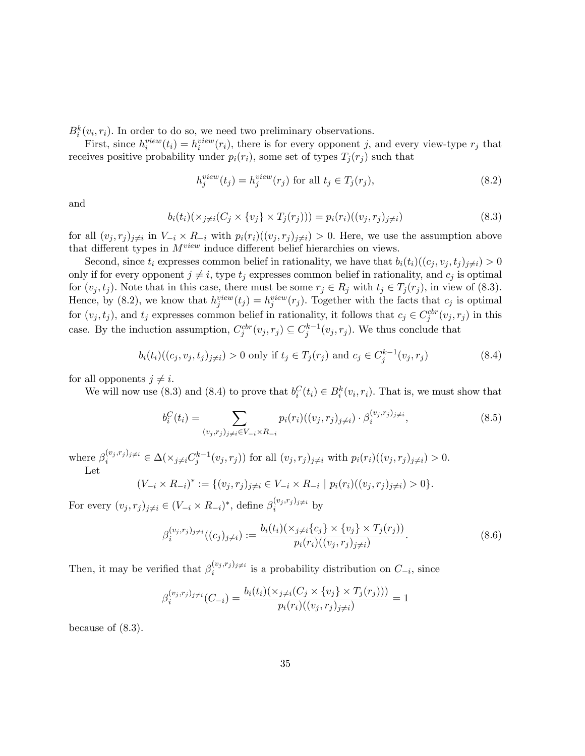$B_i^k(v_i, r_i)$ . In order to do so, we need two preliminary observations.

First, since  $h_i^{view}(t_i) = h_i^{view}(r_i)$ , there is for every opponent j, and every view-type  $r_j$  that receives positive probability under  $p_i(r_i)$ , some set of types  $T_j(r_j)$  such that

$$
h_j^{view}(t_j) = h_j^{view}(r_j) \text{ for all } t_j \in T_j(r_j),\tag{8.2}
$$

and

$$
b_i(t_i)(\times_{j \neq i} (C_j \times \{v_j\} \times T_j(r_j))) = p_i(r_i)((v_j, r_j)_{j \neq i})
$$
\n(8.3)

for all  $(v_j, r_j)_{j\neq i}$  in  $V_{-i} \times R_{-i}$  with  $p_i(r_i)((v_j, r_j)_{j\neq i}) > 0$ . Here, we use the assumption above that different types in  $M^{view}$  induce different belief hierarchies on views.

Second, since  $t_i$  expresses common belief in rationality, we have that  $b_i(t_i)((c_j, v_j, t_j)_{i\neq i}) > 0$ only if for every opponent  $j \neq i$ , type  $t_j$  expresses common belief in rationality, and  $c_j$  is optimal for  $(v_j, t_j)$ . Note that in this case, there must be some  $r_j \in R_j$  with  $t_j \in T_j(r_j)$ , in view of (8.3). Hence, by (8.2), we know that  $h_j^{view}(t_j) = h_j^{view}(r_j)$ . Together with the facts that  $c_j$  is optimal for  $(v_j, t_j)$ , and  $t_j$  expresses common belief in rationality, it follows that  $c_j \in C_j^{ctr}(v_j, r_j)$  in this case. By the induction assumption,  $C_j^{cbr}(v_j, r_j) \subseteq C_j^{k-1}(v_j, r_j)$ . We thus conclude that

$$
b_i(t_i)((c_j, v_j, t_j)_{j \neq i}) > 0 \text{ only if } t_j \in T_j(r_j) \text{ and } c_j \in C_j^{k-1}(v_j, r_j)
$$
 (8.4)

for all opponents  $j \neq i$ .

We will now use (8.3) and (8.4) to prove that  $b_i^C(t_i) \in B_i^k(v_i, r_i)$ . That is, we must show that

$$
b_i^C(t_i) = \sum_{(v_j, r_j)_{j \neq i} \in V_{-i} \times R_{-i}} p_i(r_i)((v_j, r_j)_{j \neq i}) \cdot \beta_i^{(v_j, r_j)_{j \neq i}}, \tag{8.5}
$$

where  $\beta_i^{(v_j,r_j)_{j\neq i}} \in \Delta(\times_{j\neq i} C_j^{k-1}(v_j,r_j))$  for all  $(v_j,r_j)_{j\neq i}$  with  $p_i(r_i)((v_j,r_j)_{j\neq i}) > 0$ . Let

$$
(V_{-i} \times R_{-i})^* := \{ (v_j, r_j)_{j \neq i} \in V_{-i} \times R_{-i} \mid p_i(r_i)((v_j, r_j)_{j \neq i}) > 0 \}.
$$

For every  $(v_j, r_j)_{j \neq i} \in (V_{-i} \times R_{-i})^*$ , define  $\beta_i^{(v_j, r_j)_{j \neq i}}$  by

$$
\beta_i^{(v_j, r_j)_{j \neq i}}((c_j)_{j \neq i}) := \frac{b_i(t_i)(\times_{j \neq i} \{c_j\} \times \{v_j\} \times T_j(r_j))}{p_i(r_i)((v_j, r_j)_{j \neq i})}.
$$
\n(8.6)

Then, it may be verified that  $\beta_i^{(v_j,r_j)_{j\neq i}}$  is a probability distribution on  $C_{-i}$ , since

$$
\beta_i^{(v_j,r_j)_{j\neq i}}(C_{-i}) = \frac{b_i(t_i)(\times_{j\neq i}(C_j \times \{v_j\} \times T_j(r_j)))}{p_i(r_i)((v_j,r_j)_{j\neq i})} = 1
$$

because of (8.3).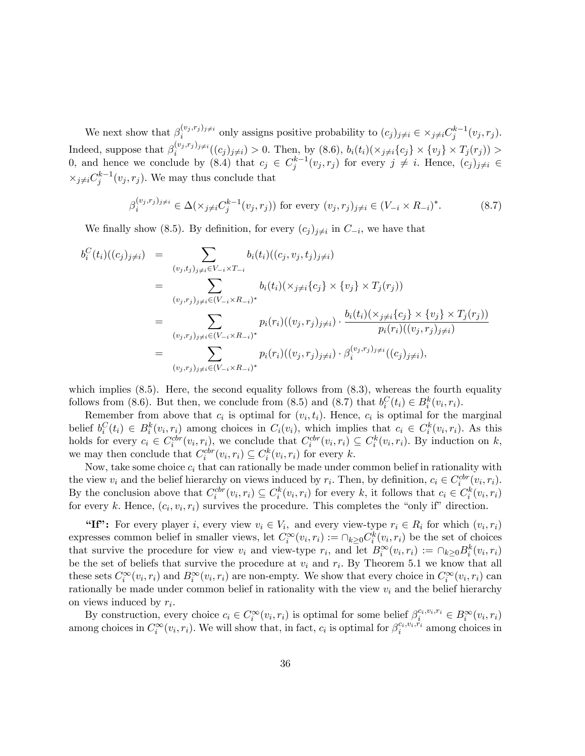We next show that  $\beta_i^{(v_j,r_j)_{j\neq i}}$  only assigns positive probability to  $(c_j)_{j\neq i} \in \times_{j\neq i} C_j^{k-1}(v_j,r_j)$ . Indeed, suppose that  $\beta_i^{(v_j,r_j)_{j\neq i}}((c_j)_{j\neq i})>0$ . Then, by  $(8.6)$ ,  $b_i(t_i)(\times_{j\neq i} \{c_j\} \times \{v_j\} \times T_j(r_j))>$ 0, and hence we conclude by  $(8.4)$  that  $c_j \in C_j^{k-1}(v_j,r_j)$  for every  $j \neq i$ . Hence,  $(c_j)_{j \neq i} \in$  $\times_{j\neq i} C_j^{k-1}(v_j,r_j)$ . We may thus conclude that

$$
\beta_i^{(v_j, r_j)_{j \neq i}} \in \Delta(\times_{j \neq i} C_j^{k-1}(v_j, r_j)) \text{ for every } (v_j, r_j)_{j \neq i} \in (V_{-i} \times R_{-i})^*.
$$
 (8.7)

We finally show (8.5). By definition, for every  $(c_j)_{j\neq i}$  in  $C_{-i}$ , we have that

$$
b_i^C(t_i)((c_j)_{j\neq i}) = \sum_{(v_j,t_j)_{j\neq i} \in V_{-i} \times T_{-i}} b_i(t_i)((c_j, v_j, t_j)_{j\neq i})
$$
  
\n
$$
= \sum_{(v_j,r_j)_{j\neq i} \in (V_{-i} \times R_{-i})^*} b_i(t_i)(\times_{j\neq i} \{c_j\} \times \{v_j\} \times T_j(r_j))
$$
  
\n
$$
= \sum_{(v_j,r_j)_{j\neq i} \in (V_{-i} \times R_{-i})^*} p_i(r_i)((v_j, r_j)_{j\neq i}) \cdot \frac{b_i(t_i)(\times_{j\neq i} \{c_j\} \times \{v_j\} \times T_j(r_j))}{p_i(r_i)((v_j, r_j)_{j\neq i})}
$$
  
\n
$$
= \sum_{(v_j,r_j)_{j\neq i} \in (V_{-i} \times R_{-i})^*} p_i(r_i)((v_j, r_j)_{j\neq i}) \cdot \beta_i^{(v_j, r_j)_{j\neq i}}((c_j)_{j\neq i}),
$$

which implies  $(8.5)$ . Here, the second equality follows from  $(8.3)$ , whereas the fourth equality follows from (8.6). But then, we conclude from (8.5) and (8.7) that  $b_i^C(t_i) \in B_i^k(v_i, r_i)$ .

Remember from above that  $c_i$  is optimal for  $(v_i, t_i)$ . Hence,  $c_i$  is optimal for the marginal belief  $b_i^C(t_i) \in B_i^k(v_i, r_i)$  among choices in  $C_i(v_i)$ , which implies that  $c_i \in C_i^k(v_i, r_i)$ . As this holds for every  $c_i \in C_i^{ctr}(v_i,r_i)$ , we conclude that  $C_i^{ctr}(v_i,r_i) \subseteq C_i^{k}(v_i,r_i)$ . By induction on k, we may then conclude that  $C_i^{cbr}(v_i, r_i) \subseteq C_i^k(v_i, r_i)$  for every k.

Now, take some choice  $c_i$  that can rationally be made under common belief in rationality with the view  $v_i$  and the belief hierarchy on views induced by  $r_i$ . Then, by definition,  $c_i \in C_i^{cbr}(v_i, r_i)$ . By the conclusion above that  $C_i^{ctr}(v_i,r_i) \subseteq C_i^k(v_i,r_i)$  for every k, it follows that  $c_i \in C_i^k(v_i,r_i)$ for every k. Hence,  $(c_i, v_i, r_i)$  survives the procedure. This completes the "only if" direction.

"If": For every player *i*, every view  $v_i \in V_i$ , and every view-type  $r_i \in R_i$  for which  $(v_i, r_i)$ expresses common belief in smaller views, let  $C_i^{\infty}(v_i, r_i) := \bigcap_{k \geq 0} C_i^k(v_i, r_i)$  be the set of choices that survive the procedure for view  $v_i$  and view-type  $r_i$ , and let  $B_i^{\infty}(v_i,r_i) := \bigcap_{k \geq 0} B_i^k(v_i,r_i)$ be the set of beliefs that survive the procedure at  $v_i$  and  $r_i$ . By Theorem 5.1 we know that all these sets  $C_i^{\infty}(v_i,r_i)$  and  $B_i^{\infty}(v_i,r_i)$  are non-empty. We show that every choice in  $C_i^{\infty}(v_i,r_i)$  can rationally be made under common belief in rationality with the view  $v_i$  and the belief hierarchy on views induced by  $r_i$ .

By construction, every choice  $c_i \in C_i^{\infty}(v_i, r_i)$  is optimal for some belief  $\beta_i^{c_i, v_i, r_i} \in B_i^{\infty}(v_i, r_i)$ among choices in  $C_i^{\infty}(v_i,r_i)$ . We will show that, in fact,  $c_i$  is optimal for  $\beta_i^{c_i,v_i,r_i}$  among choices in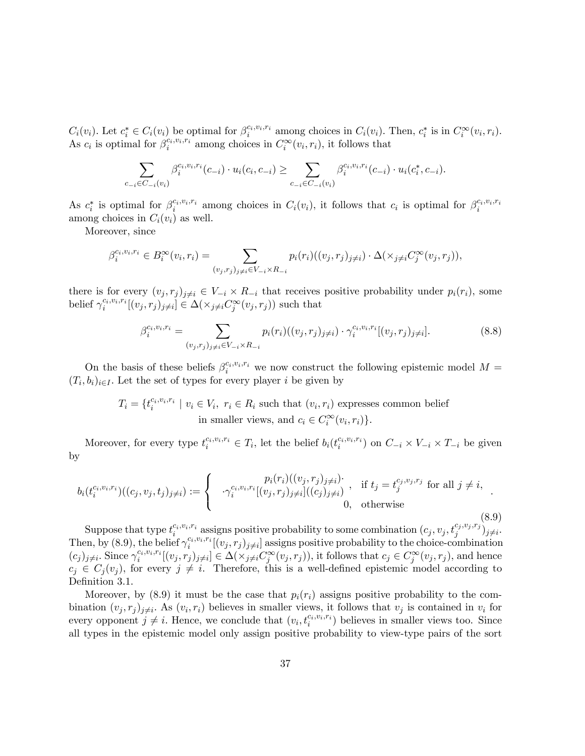$C_i(v_i)$ . Let  $c_i^* \in C_i(v_i)$  be optimal for  $\beta_i^{c_i, v_i, r_i}$  among choices in  $C_i(v_i)$ . Then,  $c_i^*$  is in  $C_i^{\infty}(v_i, r_i)$ . As  $c_i$  is optimal for  $\beta_i^{c_i, v_i, r_i}$  among choices in  $C_i^{\infty}(v_i, r_i)$ , it follows that

$$
\sum_{c_{-i} \in C_{-i}(v_i)} \beta_i^{c_i, v_i, r_i}(c_{-i}) \cdot u_i(c_i, c_{-i}) \ge \sum_{c_{-i} \in C_{-i}(v_i)} \beta_i^{c_i, v_i, r_i}(c_{-i}) \cdot u_i(c_i^*, c_{-i}).
$$

As  $c_i^*$  is optimal for  $\beta_i^{c_i,v_i,r_i}$  among choices in  $C_i(v_i)$ , it follows that  $c_i$  is optimal for  $\beta_i^{c_i,v_i,r_i}$ among choices in  $C_i(v_i)$  as well.

Moreover, since

$$
\beta_i^{c_i, v_i, r_i} \in B_i^{\infty}(v_i, r_i) = \sum_{(v_j, r_j)_{j \neq i} \in V_{-i} \times R_{-i}} p_i(r_i)((v_j, r_j)_{j \neq i}) \cdot \Delta(\times_{j \neq i} C_j^{\infty}(v_j, r_j)),
$$

there is for every  $(v_j, r_j)_{j \neq i} \in V_{-i} \times R_{-i}$  that receives positive probability under  $p_i(r_i)$ , some belief  $\gamma_i^{c_i, v_i, r_i}[(v_j, r_j)_{j \neq i}] \in \Delta(\times_{j \neq i} C_j^{\infty}(v_j, r_j))$  such that

$$
\beta_i^{c_i, v_i, r_i} = \sum_{(v_j, r_j)_{j \neq i} \in V_{-i} \times R_{-i}} p_i(r_i)((v_j, r_j)_{j \neq i}) \cdot \gamma_i^{c_i, v_i, r_i} [(v_j, r_j)_{j \neq i}].
$$
\n(8.8)

On the basis of these beliefs  $\beta_i^{c_i, v_i, r_i}$  we now construct the following epistemic model  $M =$  $(T_i, b_i)_{i \in I}$ . Let the set of types for every player i be given by

> $T_i = \{t_i^{c_i, v_i, r_i} \mid v_i \in V_i, r_i \in R_i \text{ such that } (v_i, r_i) \text{ expresses common belief} \}$ in smaller views, and  $c_i \in C_i^{\infty}(v_i, r_i)$ .

Moreover, for every type  $t_i^{c_i, v_i, r_i} \in T_i$ , let the belief  $b_i(t_i^{c_i, v_i, r_i})$  on  $C_{-i} \times V_{-i} \times T_{-i}$  be given by

$$
b_i(t_i^{c_i, v_i, r_i})((c_j, v_j, t_j)_{j \neq i}) := \begin{cases} p_i(r_i)((v_j, r_j)_{j \neq i}) & \text{if } t_j = t_j^{c_j, v_j, r_j} \text{ for all } j \neq i, \\ \sqrt{i}^{c_i, v_i, r_i}[(v_j, r_j)_{j \neq i}]((c_j)_{j \neq i}) & \text{otherwise} \end{cases}
$$
(8.9)

Suppose that type  $t_i^{c_i, v_i, r_i}$  assigns positive probability to some combination  $(c_j, v_j, t_j^{c_j, v_j, r_j})_{j \neq i}$ . Then, by (8.9), the belief  $\gamma_i^{c_i, v_i, r_i}[(v_j, r_j)_{j \neq i}]$  assigns positive probability to the choice-combination  $(c_j)_{j\neq i}$ . Since  $\gamma_i^{c_i, v_i, r_i}[(v_j, r_j)_{j\neq i}] \in \Delta(\times_{j\neq i} C_j^{\infty}(v_j, r_j))$ , it follows that  $c_j \in C_j^{\infty}(v_j, r_j)$ , and hence  $c_j \in C_j(v_j)$ , for every  $j \neq i$ . Therefore, this is a well-defined epistemic model according to Definition 3.1.

Moreover, by  $(8.9)$  it must be the case that  $p_i(r_i)$  assigns positive probability to the combination  $(v_j, r_j)_{j \neq i}$ . As  $(v_i, r_i)$  believes in smaller views, it follows that  $v_j$  is contained in  $v_i$  for every opponent  $j \neq i$ . Hence, we conclude that  $(v_i, t_i^{c_i, v_i, r_i})$  believes in smaller views too. Since all types in the epistemic model only assign positive probability to view-type pairs of the sort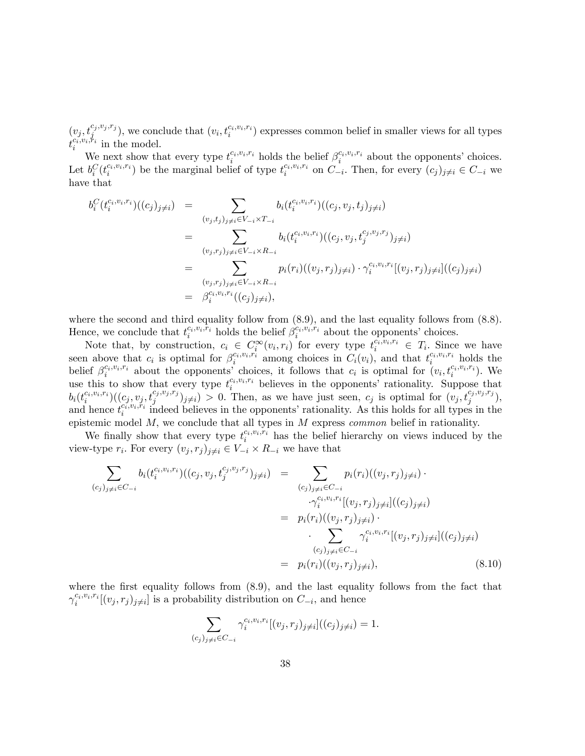$(v_j, t_j^{c_j, v_j, r_j})$ , we conclude that  $(v_i, t_i^{c_i, v_i, r_i})$  expresses common belief in smaller views for all types  $t_i^{c_i, v_i, \dot{r}_i}$  in the model.

We next show that every type  $t_i^{c_i, v_i, r_i}$  holds the belief  $\beta_i^{c_i, v_i, r_i}$  about the opponents' choices. Let  $b_i^C(t_i^{c_i,v_i,r_i})$  be the marginal belief of type  $t_i^{c_i,v_i,r_i}$  on  $C_{-i}$ . Then, for every  $(c_j)_{j\neq i} \in C_{-i}$  we have that

$$
b_i^C(t_i^{c_i, v_i, r_i})((c_j)_{j\neq i}) = \sum_{(v_j, t_j)_{j\neq i} \in V_{-i} \times T_{-i}} b_i(t_i^{c_i, v_i, r_i})((c_j, v_j, t_j)_{j\neq i})
$$
  
\n
$$
= \sum_{(v_j, r_j)_{j\neq i} \in V_{-i} \times R_{-i}} b_i(t_i^{c_i, v_i, r_i})((c_j, v_j, t_j^{c_j, v_j, r_j})_{j\neq i})
$$
  
\n
$$
= \sum_{(v_j, r_j)_{j\neq i} \in V_{-i} \times R_{-i}} p_i(r_i)((v_j, r_j)_{j\neq i}) \cdot \gamma_i^{c_i, v_i, r_i}[(v_j, r_j)_{j\neq i}]((c_j)_{j\neq i})
$$
  
\n
$$
= \beta_i^{c_i, v_i, r_i}((c_j)_{j\neq i}),
$$

where the second and third equality follow from  $(8.9)$ , and the last equality follows from  $(8.8)$ . Hence, we conclude that  $t_i^{c_i, v_i, \bar{r}_i}$  holds the belief  $\beta_i^{c_i, v_i, \bar{r}_i}$  about the opponents' choices.  $i$  indus the beneficial  $\mu_i$ 

Note that, by construction,  $c_i \in C_i^{\infty}(v_i,r_i)$  for every type  $t_i^{c_i,v_i,r_i} \in T_i$ . Since we have seen above that  $c_i$  is optimal for  $\beta_i^{c_i,v_i,r_i}$  among choices in  $C_i(v_i)$ , and that  $t_i^{c_i,v_i,r_i}$  holds the belief  $\beta_i^{c_i, v_i, r_i}$  about the opponents' choices, it follows that  $c_i$  is optimal for  $(v_i, t_i^{c_i, v_i, r_i})$ . We use this to show that every type  $t_i^{c_i, v_i, r_i}$  believes in the opponents' rationality. Suppose that  $b_i(t_i^{c_i, v_i, r_i})((c_j, v_j, t_j^{c_j, v_j, r_j})_{j \neq i}) > 0$ . Then, as we have just seen,  $c_j$  is optimal for  $(v_j, t_j^{c_j, v_j, r_j})$ , and hence  $t_i^{c_i, v_i, r_i}$  indeed believes in the opponents' rationality. As this holds for all types in the epistemic model  $M$ , we conclude that all types in  $M$  express *common* belief in rationality.

We finally show that every type  $t_i^{c_i, v_i, \overline{r_i}}$  has the belief hierarchy on views induced by the view-type  $r_i$ . For every  $(v_j, r_j)_{j \neq i} \in V_{-i} \times R_{-i}$  we have that

X (c<sup>j</sup> )j6=i2C<sup>i</sup> bi(t ci;vi;r<sup>i</sup> i )((c<sup>j</sup> ; v<sup>j</sup> ; tc<sup>j</sup> ;v<sup>j</sup> ;r<sup>j</sup> j )j6=i) = <sup>X</sup> (c<sup>j</sup> )j6=i2C<sup>i</sup> pi(ri)((v<sup>j</sup> ; r<sup>j</sup> )j6=i) ci;vi;r<sup>i</sup> i [(v<sup>j</sup> ; r<sup>j</sup> )j6=<sup>i</sup> ]((c<sup>j</sup> )j6=i) = pi(ri)((v<sup>j</sup> ; r<sup>j</sup> )j6=i) X (c<sup>j</sup> )j6=i2C<sup>i</sup> ci;vi;r<sup>i</sup> i [(v<sup>j</sup> ; r<sup>j</sup> )j6=<sup>i</sup> ]((c<sup>j</sup> )j6=i) = pi(ri)((v<sup>j</sup> ; r<sup>j</sup> )j6=i); (8.10)

where the first equality follows from  $(8.9)$ , and the last equality follows from the fact that  $\gamma_i^{c_i, v_i, r_i}[(v_j, r_j)_{j \neq i}]$  is a probability distribution on  $C_{-i}$ , and hence

$$
\sum_{(c_j)_{j\neq i}\in C_{-i}} \gamma_i^{c_i, v_i, r_i} [(v_j, r_j)_{j\neq i}]((c_j)_{j\neq i}) = 1.
$$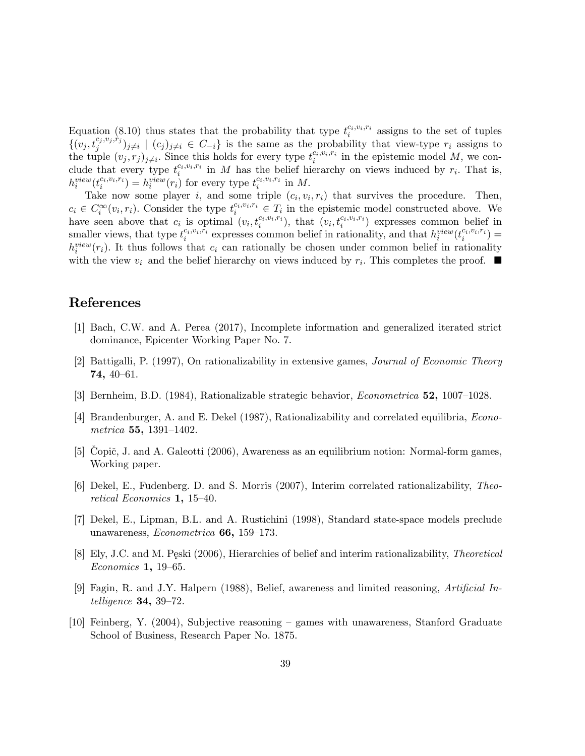Equation (8.10) thus states that the probability that type  $t_i^{c_i, v_i, r_i}$  assigns to the set of tuples  $\{(v_j,t_j^{c_j,v_j,\grave{r}_j})_{j\neq i} \mid (c_j)_{j\neq i} \in C_{-i}\}\$ is the same as the probability that view-type  $r_i$  assigns to the tuple  $(v_j, r_j)_{j \neq i}$ . Since this holds for every type  $t_i^{c_i, v_i, r_i}$  in the epistemic model M, we coni clude that every type  $t_i^{c_i,v_i,r_i}$  in M has the belief hierarchy on views induced by  $r_i$ . That is,  $h_i^{view}(t_i^{c_i,v_i,r_i}) = h_i^{view}(r_i)$  for every type  $t_i^{c_i,v_i,r_i}$  in M.

Take now some player i, and some triple  $(c_i, v_i, r_i)$  that survives the procedure. Then,  $c_i \in C_i^{\infty}(v_i,r_i)$ . Consider the type  $t_i^{c_i,v_i,r_i} \in T_i$  in the epistemic model constructed above. We have seen above that  $c_i$  is optimal  $(v_i, t_i^{c_i, v_i, r_i})$ , that  $(v_i, t_i^{c_i, v_i, r_i})$  expresses common belief in smaller views, that type  $t_i^{c_i, v_i, \bar{r_i}}$  expresses common belief in rationality, and that  $h_i^{view}(t_i^{c_i, v_i, \bar{r_i}})$  $h_i^{view}(r_i)$ . It thus follows that  $c_i$  can rationally be chosen under common belief in rationality with the view  $v_i$  and the belief hierarchy on views induced by  $r_i$ . This completes the proof.  $\blacksquare$ 

# References

- [1] Bach, C.W. and A. Perea (2017), Incomplete information and generalized iterated strict dominance, Epicenter Working Paper No. 7.
- [2] Battigalli, P. (1997), On rationalizability in extensive games, Journal of Economic Theory  $74, 40 - 61.$
- [3] Bernheim, B.D.  $(1984)$ , Rationalizable strategic behavior, *Econometrica* **52**, 1007–1028.
- [4] Brandenburger, A. and E. Dekel (1987), Rationalizability and correlated equilibria, Econometrica 55, 1391-1402.
- [5] Copič, J. and A. Galeotti  $(2006)$ , Awareness as an equilibrium notion: Normal-form games, Working paper.
- [6] Dekel, E., Fudenberg. D. and S. Morris (2007), Interim correlated rationalizability, Theoretical Economics 1, 15-40.
- [7] Dekel, E., Lipman, B.L. and A. Rustichini (1998), Standard state-space models preclude unawareness, *Econometrica* 66, 159–173.
- [8] Ely, J.C. and M. Peski (2006), Hierarchies of belief and interim rationalizability, *Theoretical*  $Economics\ 1, 19–65.$
- [9] Fagin, R. and J.Y. Halpern (1988), Belief, awareness and limited reasoning, Artificial Intelligence  $34, 39-72$ .
- [10] Feinberg, Y. (2004), Subjective reasoning  $-$  games with unawareness, Stanford Graduate School of Business, Research Paper No. 1875.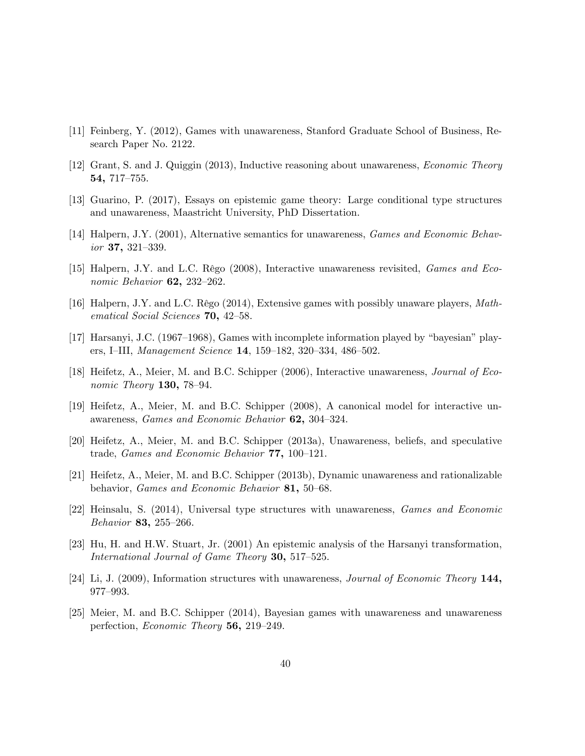- [11] Feinberg, Y. (2012), Games with unawareness, Stanford Graduate School of Business, Research Paper No. 2122.
- [12] Grant, S. and J. Quiggin (2013), Inductive reasoning about unawareness, Economic Theory 54, 717-755.
- [13] Guarino, P. (2017), Essays on epistemic game theory: Large conditional type structures and unawareness, Maastricht University, PhD Dissertation.
- [14] Halpern, J.Y. (2001), Alternative semantics for unawareness, Games and Economic Behav $ior 37, 321-339.$
- [15] Halpern, J.Y. and L.C. Rêgo (2008), Interactive unawareness revisited, *Games and Eco*nomic Behavior  $62$ ,  $232-262$ .
- [16] Halpern, J.Y. and L.C. Rêgo (2014), Extensive games with possibly unaware players, Mathematical Social Sciences  $70, 42-58.$
- [17] Harsanyi, J.C.  $(1967-1968)$ , Games with incomplete information played by "bayesian" players, I-III, Management Science 14, 159-182, 320-334, 486-502.
- [18] Heifetz, A., Meier, M. and B.C. Schipper (2006), Interactive unawareness, *Journal of Eco*nomic Theory  $130$ ,  $78-94$ .
- [19] Heifetz, A., Meier, M. and B.C. Schipper (2008), A canonical model for interactive unawareness, Games and Economic Behavior 62, 304-324.
- [20] Heifetz, A., Meier, M. and B.C. Schipper (2013a), Unawareness, beliefs, and speculative trade, *Games and Economic Behavior*  $77, 100-121$ .
- [21] Heifetz, A., Meier, M. and B.C. Schipper (2013b), Dynamic unawareness and rationalizable behavior, Games and Economic Behavior 81, 50-68.
- [22] Heinsalu, S. (2014), Universal type structures with unawareness, Games and Economic Behavior 83, 255–266.
- [23] Hu, H. and H.W. Stuart, Jr. (2001) An epistemic analysis of the Harsanyi transformation, International Journal of Game Theory 30,  $517-525$ .
- [24] Li, J. (2009), Information structures with unawareness, Journal of Economic Theory 144, 977-993.
- [25] Meier, M. and B.C. Schipper (2014), Bayesian games with unawareness and unawareness perfection, Economic Theory 56, 219-249.